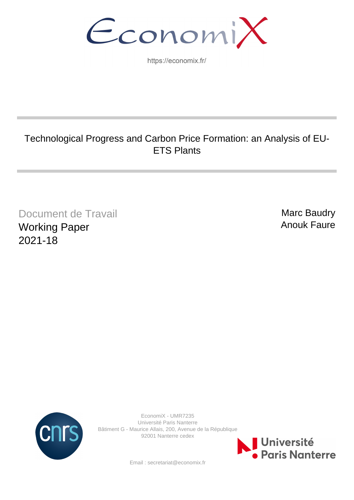EconomiX

https://economix.fr/

# Technological Progress and Carbon Price Formation: an Analysis of EU-ETS Plants

Document de Travail Working Paper 2021-18

Marc Baudry Anouk Faure



EconomiX - UMR7235 Université Paris Nanterre Bâtiment G - Maurice Allais, 200, Avenue de la République 92001 Nanterre cedex



Email : secretariat@economix.fr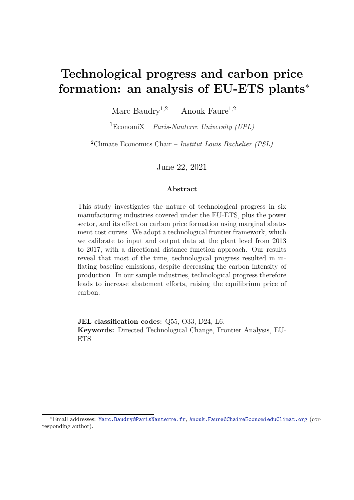# **Technological progress and carbon price formation: an analysis of EU-ETS plants**<sup>∗</sup>

Marc Baudry<sup>1,2</sup> Anouk Faure<sup>1,2</sup>

<sup>1</sup>EconomiX – *Paris-Nanterre University (UPL)*

<sup>2</sup>Climate Economics Chair – *Institut Louis Bachelier (PSL)*

June 22, 2021

#### **Abstract**

This study investigates the nature of technological progress in six manufacturing industries covered under the EU-ETS, plus the power sector, and its effect on carbon price formation using marginal abatement cost curves. We adopt a technological frontier framework, which we calibrate to input and output data at the plant level from 2013 to 2017, with a directional distance function approach. Our results reveal that most of the time, technological progress resulted in inflating baseline emissions, despite decreasing the carbon intensity of production. In our sample industries, technological progress therefore leads to increase abatement efforts, raising the equilibrium price of carbon.

**JEL classification codes:** Q55, O33, D24, L6. **Keywords:** Directed Technological Change, Frontier Analysis, EU-ETS

<sup>∗</sup>Email addresses: Marc.Baudry@ParisNanterre.fr, Anouk.Faure@ChaireEconomieduClimat.org (corresponding author).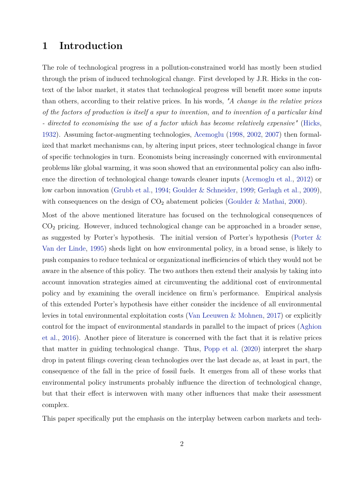## **1 Introduction**

The role of technological progress in a pollution-constrained world has mostly been studied through the prism of induced technological change. First developed by J.R. Hicks in the context of the labor market, it states that technological progress will benefit more some inputs than others, according to their relative prices. In his words, *"A change in the relative prices of the factors of production is itself a spur to invention, and to invention of a particular kind - directed to economising the use of a factor which has become relatively expensive"* (Hicks, 1932). Assuming factor-augmenting technologies, Acemoglu (1998, 2002, 2007) then formalized that market mechanisms can, by altering input prices, steer technological change in favor of specific technologies in turn. Economists being increasingly concerned with environmental problems like global warming, it was soon showed that an environmental policy can also influence the direction of technological change towards cleaner inputs (Acemoglu et al., 2012) or low carbon innovation (Grubb et al., 1994; Goulder & Schneider, 1999; Gerlagh et al., 2009), with consequences on the design of  $CO<sub>2</sub>$  abatement policies (Goulder & Mathai, 2000).

Most of the above mentioned literature has focused on the technological consequences of  $CO<sub>2</sub>$  pricing. However, induced technological change can be approached in a broader sense, as suggested by Porter's hypothesis. The initial version of Porter's hypothesis (Porter & Van der Linde, 1995) sheds light on how environmental policy, in a broad sense, is likely to push companies to reduce technical or organizational inefficiencies of which they would not be aware in the absence of this policy. The two authors then extend their analysis by taking into account innovation strategies aimed at circumventing the additional cost of environmental policy and by examining the overall incidence on firm's performance. Empirical analysis of this extended Porter's hypothesis have either consider the incidence of all environmental levies in total environmental exploitation costs (Van Leeuwen & Mohnen, 2017) or explicitly control for the impact of environmental standards in parallel to the impact of prices (Aghion et al., 2016). Another piece of literature is concerned with the fact that it is relative prices that matter in guiding technological change. Thus, Popp et al. (2020) interpret the sharp drop in patent filings covering clean technologies over the last decade as, at least in part, the consequence of the fall in the price of fossil fuels. It emerges from all of these works that environmental policy instruments probably influence the direction of technological change, but that their effect is interwoven with many other influences that make their assessment complex.

This paper specifically put the emphasis on the interplay between carbon markets and tech-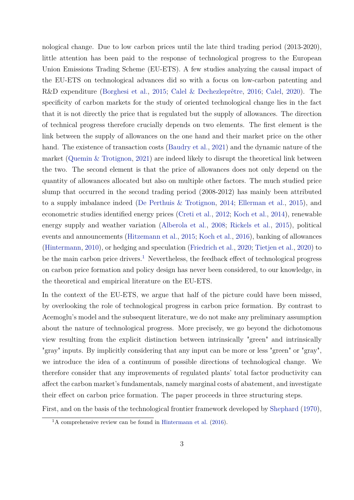nological change. Due to low carbon prices until the late third trading period (2013-2020), little attention has been paid to the response of technological progress to the European Union Emissions Trading Scheme (EU-ETS). A few studies analyzing the causal impact of the EU-ETS on technological advances did so with a focus on low-carbon patenting and R&D expenditure (Borghesi et al., 2015; Calel & Dechezleprêtre, 2016; Calel, 2020). The specificity of carbon markets for the study of oriented technological change lies in the fact that it is not directly the price that is regulated but the supply of allowances. The direction of technical progress therefore crucially depends on two elements. The first element is the link between the supply of allowances on the one hand and their market price on the other hand. The existence of transaction costs (Baudry et al., 2021) and the dynamic nature of the market (Quemin & Trotignon, 2021) are indeed likely to disrupt the theoretical link between the two. The second element is that the price of allowances does not only depend on the quantity of allowances allocated but also on multiple other factors. The much studied price slump that occurred in the second trading period (2008-2012) has mainly been attributed to a supply imbalance indeed (De Perthuis & Trotignon, 2014; Ellerman et al., 2015), and econometric studies identified energy prices (Creti et al., 2012; Koch et al., 2014), renewable energy supply and weather variation (Alberola et al., 2008; Rickels et al., 2015), political events and announcements (Hitzemann et al., 2015; Koch et al., 2016), banking of allowances (Hintermann, 2010), or hedging and speculation (Friedrich et al., 2020; Tietjen et al., 2020) to be the main carbon price drivers.<sup>1</sup> Nevertheless, the feedback effect of technological progress on carbon price formation and policy design has never been considered, to our knowledge, in the theoretical and empirical literature on the EU-ETS.

In the context of the EU-ETS, we argue that half of the picture could have been missed, by overlooking the role of technological progress in carbon price formation. By contrast to Acemoglu's model and the subsequent literature, we do not make any preliminary assumption about the nature of technological progress. More precisely, we go beyond the dichotomous view resulting from the explicit distinction between intrinsically "green" and intrinsically "gray" inputs. By implicitly considering that any input can be more or less "green" or "gray", we introduce the idea of a continuum of possible directions of technological change. We therefore consider that any improvements of regulated plants' total factor productivity can affect the carbon market's fundamentals, namely marginal costs of abatement, and investigate their effect on carbon price formation. The paper proceeds in three structuring steps.

First, and on the basis of the technological frontier framework developed by Shephard (1970),

 $1_A$  comprehensive review can be found in Hintermann et al. (2016).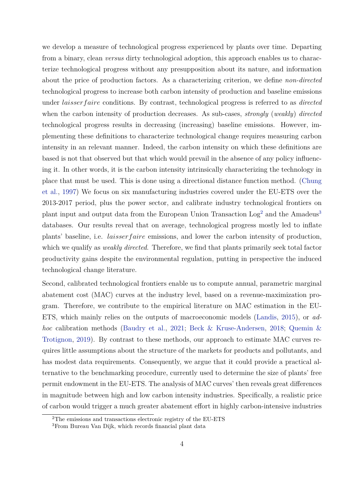we develop a measure of technological progress experienced by plants over time. Departing from a binary, clean *versus* dirty technological adoption, this approach enables us to characterize technological progress without any presupposition about its nature, and information about the price of production factors. As a characterizing criterion, we define *non-directed* technological progress to increase both carbon intensity of production and baseline emissions under *laisserf aire* conditions. By contrast, technological progress is referred to as *directed* when the carbon intensity of production decreases. As sub-cases, *strongly* (*weakly*) *directed* technological progress results in decreasing (increasing) baseline emissions. However, implementing these definitions to characterize technological change requires measuring carbon intensity in an relevant manner. Indeed, the carbon intensity on which these definitions are based is not that observed but that which would prevail in the absence of any policy influencing it. In other words, it is the carbon intensity intrinsically characterizing the technology in place that must be used. This is done using a directional distance function method. (Chung et al., 1997) We focus on six manufacturing industries covered under the EU-ETS over the 2013-2017 period, plus the power sector, and calibrate industry technological frontiers on plant input and output data from the European Union Transaction Log<sup>2</sup> and the Amadeus<sup>3</sup> databases. Our results reveal that on average, technological progress mostly led to inflate plants' baseline, i.e. *laisserf aire* emissions, and lower the carbon intensity of production, which we qualify as *weakly directed*. Therefore, we find that plants primarily seek total factor productivity gains despite the environmental regulation, putting in perspective the induced technological change literature.

Second, calibrated technological frontiers enable us to compute annual, parametric marginal abatement cost (MAC) curves at the industry level, based on a revenue-maximization program. Therefore, we contribute to the empirical literature on MAC estimation in the EU-ETS, which mainly relies on the outputs of macroeconomic models (Landis, 2015), or *adhoc* calibration methods (Baudry et al., 2021; Beck & Kruse-Andersen, 2018; Quemin & Trotignon, 2019). By contrast to these methods, our approach to estimate MAC curves requires little assumptions about the structure of the markets for products and pollutants, and has modest data requirements. Consequently, we argue that it could provide a practical alternative to the benchmarking procedure, currently used to determine the size of plants' free permit endowment in the EU-ETS. The analysis of MAC curves' then reveals great differences in magnitude between high and low carbon intensity industries. Specifically, a realistic price of carbon would trigger a much greater abatement effort in highly carbon-intensive industries

<sup>2</sup>The emissions and transactions electronic registry of the EU-ETS

<sup>3</sup>From Bureau Van Dijk, which records financial plant data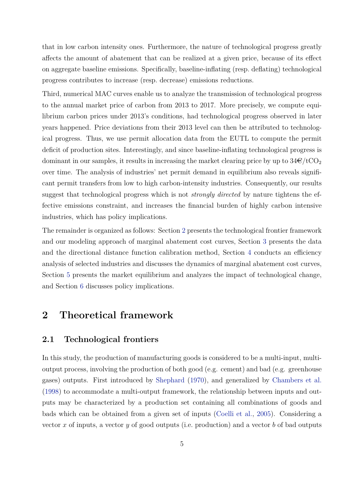that in low carbon intensity ones. Furthermore, the nature of technological progress greatly affects the amount of abatement that can be realized at a given price, because of its effect on aggregate baseline emissions. Specifically, baseline-inflating (resp. deflating) technological progress contributes to increase (resp. decrease) emissions reductions.

Third, numerical MAC curves enable us to analyze the transmission of technological progress to the annual market price of carbon from 2013 to 2017. More precisely, we compute equilibrium carbon prices under 2013's conditions, had technological progress observed in later years happened. Price deviations from their 2013 level can then be attributed to technological progress. Thus, we use permit allocation data from the EUTL to compute the permit deficit of production sites. Interestingly, and since baseline-inflating technological progress is dominant in our samples, it results in increasing the market clearing price by up to  $34\epsilon/\text{tCO}_2$ over time. The analysis of industries' net permit demand in equilibrium also reveals significant permit transfers from low to high carbon-intensity industries. Consequently, our results suggest that technological progress which is not *strongly directed* by nature tightens the effective emissions constraint, and increases the financial burden of highly carbon intensive industries, which has policy implications.

The remainder is organized as follows: Section 2 presents the technological frontier framework and our modeling approach of marginal abatement cost curves, Section 3 presents the data and the directional distance function calibration method, Section 4 conducts an efficiency analysis of selected industries and discusses the dynamics of marginal abatement cost curves, Section 5 presents the market equilibrium and analyzes the impact of technological change, and Section 6 discusses policy implications.

# **2 Theoretical framework**

#### **2.1 Technological frontiers**

In this study, the production of manufacturing goods is considered to be a multi-input, multioutput process, involving the production of both good (e.g. cement) and bad (e.g. greenhouse gases) outputs. First introduced by Shephard (1970), and generalized by Chambers et al. (1998) to accommodate a multi-output framework, the relationship between inputs and outputs may be characterized by a production set containing all combinations of goods and bads which can be obtained from a given set of inputs (Coelli et al., 2005). Considering a vector *x* of inputs, a vector *y* of good outputs (i.e. production) and a vector *b* of bad outputs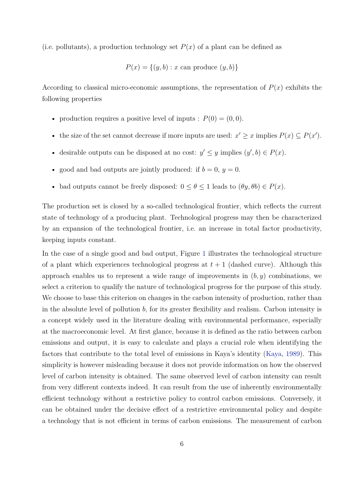(i.e. pollutants), a production technology set  $P(x)$  of a plant can be defined as

$$
P(x) = \{(y, b) : x \text{ can produce } (y, b)\}
$$

According to classical micro-economic assumptions, the representation of  $P(x)$  exhibits the following properties

- production requires a positive level of inputs :  $P(0) = (0, 0)$ .
- the size of the set cannot decrease if more inputs are used:  $x' \geq x$  implies  $P(x) \subseteq P(x')$ .
- desirable outputs can be disposed at no cost:  $y' \leq y$  implies  $(y', b) \in P(x)$ .
- good and bad outputs are jointly produced: if  $b = 0$ ,  $y = 0$ .
- bad outputs cannot be freely disposed:  $0 \le \theta \le 1$  leads to  $(\theta y, \theta b) \in P(x)$ .

The production set is closed by a so-called technological frontier, which reflects the current state of technology of a producing plant. Technological progress may then be characterized by an expansion of the technological frontier, i.e. an increase in total factor productivity, keeping inputs constant.

In the case of a single good and bad output, Figure 1 illustrates the technological structure of a plant which experiences technological progress at  $t + 1$  (dashed curve). Although this approach enables us to represent a wide range of improvements in (*b, y*) combinations, we select a criterion to qualify the nature of technological progress for the purpose of this study. We choose to base this criterion on changes in the carbon intensity of production, rather than in the absolute level of pollution *b*, for its greater flexibility and realism. Carbon intensity is a concept widely used in the literature dealing with environmental performance, especially at the macroeconomic level. At first glance, because it is defined as the ratio between carbon emissions and output, it is easy to calculate and plays a crucial role when identifying the factors that contribute to the total level of emissions in Kaya's identity (Kaya, 1989). This simplicity is however misleading because it does not provide information on how the observed level of carbon intensity is obtained. The same observed level of carbon intensity can result from very different contexts indeed. It can result from the use of inherently environmentally efficient technology without a restrictive policy to control carbon emissions. Conversely, it can be obtained under the decisive effect of a restrictive environmental policy and despite a technology that is not efficient in terms of carbon emissions. The measurement of carbon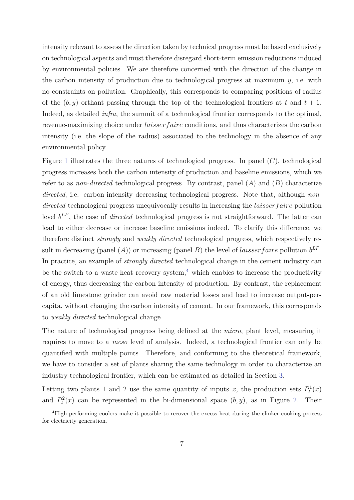intensity relevant to assess the direction taken by technical progress must be based exclusively on technological aspects and must therefore disregard short-term emission reductions induced by environmental policies. We are therefore concerned with the direction of the change in the carbon intensity of production due to technological progress at maximum *y*, i.e. with no constraints on pollution. Graphically, this corresponds to comparing positions of radius of the  $(b, y)$  orthant passing through the top of the technological frontiers at t and  $t + 1$ . Indeed, as detailed *infra*, the summit of a technological frontier corresponds to the optimal, revenue-maximizing choice under *laisserf aire* conditions, and thus characterizes the carbon intensity (i.e. the slope of the radius) associated to the technology in the absence of any environmental policy.

Figure 1 illustrates the three natures of technological progress. In panel (*C*), technological progress increases both the carbon intensity of production and baseline emissions, which we refer to as *non-directed* technological progress. By contrast, panel (*A*) and (*B*) characterize directed, i.e. carbon-intensity decreasing technological progress. Note that, although *nondirected* technological progress unequivocally results in increasing the *laisserf aire* pollution level  $b^{LF}$ , the case of *directed* technological progress is not straightforward. The latter can lead to either decrease or increase baseline emissions indeed. To clarify this difference, we therefore distinct *strongly* and *weakly directed* technological progress, which respectively result in decreasing (panel  $(A)$ ) or increasing (panel *B*) the level of *laisser faire* pollution  $b^{LF}$ . In practice, an example of *strongly directed* technological change in the cement industry can be the switch to a waste-heat recovery system,<sup>4</sup> which enables to increase the productivity of energy, thus decreasing the carbon-intensity of production. By contrast, the replacement of an old limestone grinder can avoid raw material losses and lead to increase output-percapita, without changing the carbon intensity of cement. In our framework, this corresponds to *weakly directed* technological change.

The nature of technological progress being defined at the *micro*, plant level, measuring it requires to move to a *meso* level of analysis. Indeed, a technological frontier can only be quantified with multiple points. Therefore, and conforming to the theoretical framework, we have to consider a set of plants sharing the same technology in order to characterize an industry technological frontier, which can be estimated as detailed in Section 3.

Letting two plants 1 and 2 use the same quantity of inputs *x*, the production sets  $P_t^1(x)$ and  $P_t^2(x)$  can be represented in the bi-dimensional space  $(b, y)$ , as in Figure 2. Their

<sup>&</sup>lt;sup>4</sup>High-performing coolers make it possible to recover the excess heat during the clinker cooking process for electricity generation.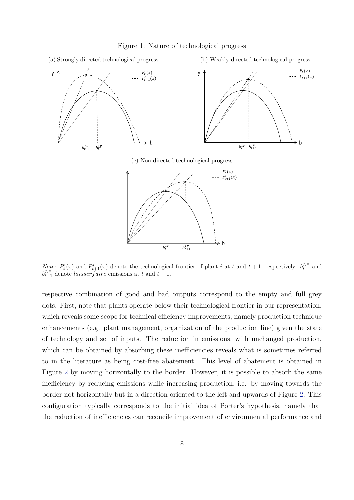Figure 1: Nature of technological progress



*Note:*  $P_t^i(x)$  and  $P_{t+1}^i(x)$  denote the technological frontier of plant *i* at *t* and  $t+1$ , respectively.  $b_t^{LF}$  and  $b_{t+1}^{LF}$  denote *laisser faire* emissions at *t* and *t* + 1.

respective combination of good and bad outputs correspond to the empty and full grey dots. First, note that plants operate below their technological frontier in our representation, which reveals some scope for technical efficiency improvements, namely production technique enhancements (e.g. plant management, organization of the production line) given the state of technology and set of inputs. The reduction in emissions, with unchanged production, which can be obtained by absorbing these inefficiencies reveals what is sometimes referred to in the literature as being cost-free abatement. This level of abatement is obtained in Figure 2 by moving horizontally to the border. However, it is possible to absorb the same inefficiency by reducing emissions while increasing production, i.e. by moving towards the border not horizontally but in a direction oriented to the left and upwards of Figure 2. This configuration typically corresponds to the initial idea of Porter's hypothesis, namely that the reduction of inefficiencies can reconcile improvement of environmental performance and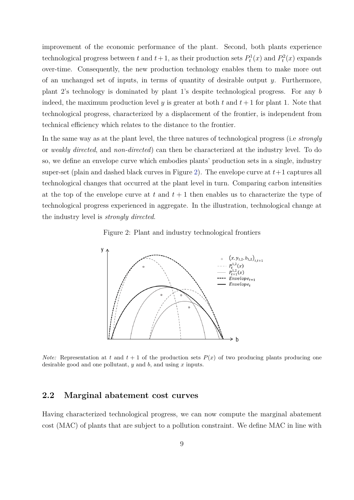improvement of the economic performance of the plant. Second, both plants experience technological progress between *t* and  $t + 1$ , as their production sets  $P_t^1(x)$  and  $P_t^2(x)$  expands over-time. Consequently, the new production technology enables them to make more out of an unchanged set of inputs, in terms of quantity of desirable output *y*. Furthermore, plant 2's technology is dominated by plant 1's despite technological progress. For any *b* indeed, the maximum production level *y* is greater at both  $t$  and  $t + 1$  for plant 1. Note that technological progress, characterized by a displacement of the frontier, is independent from technical efficiency which relates to the distance to the frontier.

In the same way as at the plant level, the three natures of technological progress (i.e *strongly* or *weakly directed*, and *non-directed*) can then be characterized at the industry level. To do so, we define an envelope curve which embodies plants' production sets in a single, industry super-set (plain and dashed black curves in Figure 2). The envelope curve at  $t+1$  captures all technological changes that occurred at the plant level in turn. Comparing carbon intensities at the top of the envelope curve at  $t$  and  $t + 1$  then enables us to characterize the type of technological progress experienced in aggregate. In the illustration, technological change at the industry level is *strongly directed*.





*Note:* Representation at *t* and  $t + 1$  of the production sets  $P(x)$  of two producing plants producing one desirable good and one pollutant, *y* and *b*, and using *x* inputs.

#### **2.2 Marginal abatement cost curves**

Having characterized technological progress, we can now compute the marginal abatement cost (MAC) of plants that are subject to a pollution constraint. We define MAC in line with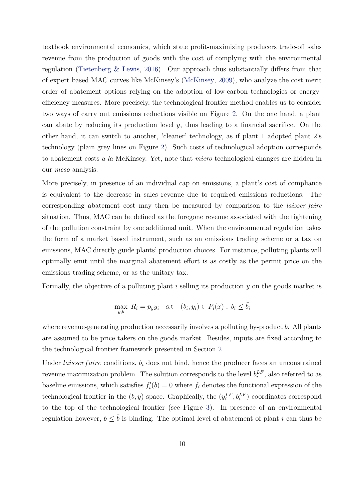textbook environmental economics, which state profit-maximizing producers trade-off sales revenue from the production of goods with the cost of complying with the environmental regulation (Tietenberg & Lewis, 2016). Our approach thus substantially differs from that of expert based MAC curves like McKinsey's (McKinsey, 2009), who analyze the cost merit order of abatement options relying on the adoption of low-carbon technologies or energyefficiency measures. More precisely, the technological frontier method enables us to consider two ways of carry out emissions reductions visible on Figure 2. On the one hand, a plant can abate by reducing its production level *y*, thus leading to a financial sacrifice. On the other hand, it can switch to another, 'cleaner' technology, as if plant 1 adopted plant 2's technology (plain grey lines on Figure 2). Such costs of technological adoption corresponds to abatement costs *a la* McKinsey. Yet, note that *micro* technological changes are hidden in our *meso* analysis.

More precisely, in presence of an individual cap on emissions, a plant's cost of compliance is equivalent to the decrease in sales revenue due to required emissions reductions. The corresponding abatement cost may then be measured by comparison to the *laisser-faire* situation. Thus, MAC can be defined as the foregone revenue associated with the tightening of the pollution constraint by one additional unit. When the environmental regulation takes the form of a market based instrument, such as an emissions trading scheme or a tax on emissions, MAC directly guide plants' production choices. For instance, polluting plants will optimally emit until the marginal abatement effort is as costly as the permit price on the emissions trading scheme, or as the unitary tax.

Formally, the objective of a polluting plant *i* selling its production *y* on the goods market is

$$
\max_{y,b} R_i = p_y y_i \quad \text{s.t} \quad (b_i, y_i) \in P_i(x) \ , \ b_i \le \bar{b}_i
$$

where revenue-generating production necessarily involves a polluting by-product *b*. All plants are assumed to be price takers on the goods market. Besides, inputs are fixed according to the technological frontier framework presented in Section 2.

Under *laisser faire* conditions,  $\overline{b}_i$  does not bind, hence the producer faces an unconstrained revenue maximization problem. The solution corresponds to the level  $b_i^{LF}$ , also referred to as baseline emissions, which satisfies  $f_i'(b) = 0$  where  $f_i$  denotes the functional expression of the technological frontier in the  $(b, y)$  space. Graphically, the  $(y_i^{LF}, b_i^{LF})$  coordinates correspond to the top of the technological frontier (see Figure 3). In presence of an environmental regulation however,  $b \leq \bar{b}$  is binding. The optimal level of abatement of plant *i* can thus be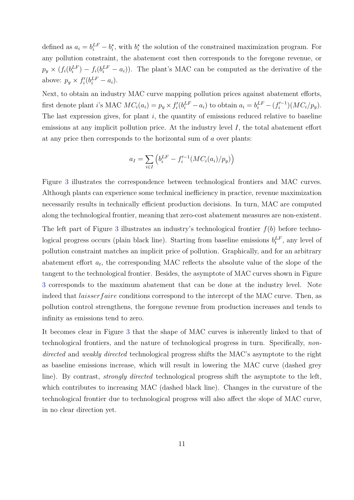defined as  $a_i = b_i^{LF} - b_i^*$ , with  $b_i^*$  the solution of the constrained maximization program. For any pollution constraint, the abatement cost then corresponds to the foregone revenue, or  $p_y \times (f_i(b_i^{LF}) - f_i(b_i^{LF} - a_i))$ . The plant's MAC can be computed as the derivative of the above:  $p_y \times f'_i(b_i^{LF} - a_i)$ .

Next, to obtain an industry MAC curve mapping pollution prices against abatement efforts, first denote plant *i*'s MAC  $MC_i(a_i) = p_y \times f'_i(b_i^{LF} - a_i)$  to obtain  $a_i = b_i^{LF} - (f'_i{}^{-1})(MC_i/p_y)$ . The last expression gives, for plant *i*, the quantity of emissions reduced relative to baseline emissions at any implicit pollution price. At the industry level *I*, the total abatement effort at any price then corresponds to the horizontal sum of *a* over plants:

$$
a_I = \sum_{i \in I} \left( b_i^{LF} - f_i'^{-1} (MC_i(a_i)/p_y) \right)
$$

Figure 3 illustrates the correspondence between technological frontiers and MAC curves. Although plants can experience some technical inefficiency in practice, revenue maximization necessarily results in technically efficient production decisions. In turn, MAC are computed along the technological frontier, meaning that zero-cost abatement measures are non-existent. The left part of Figure 3 illustrates an industry's technological frontier *f*(*b*) before technological progress occurs (plain black line). Starting from baseline emissions  $b_t^{LF}$ , any level of pollution constraint matches an implicit price of pollution. Graphically, and for an arbitrary abatement effort  $a_t$ , the corresponding MAC reflects the absolute value of the slope of the tangent to the technological frontier. Besides, the asymptote of MAC curves shown in Figure 3 corresponds to the maximum abatement that can be done at the industry level. Note indeed that *laisser faire* conditions correspond to the intercept of the MAC curve. Then, as pollution control strengthens, the foregone revenue from production increases and tends to infinity as emissions tend to zero.

It becomes clear in Figure 3 that the shape of MAC curves is inherently linked to that of technological frontiers, and the nature of technological progress in turn. Specifically, *nondirected* and *weakly directed* technological progress shifts the MAC's asymptote to the right as baseline emissions increase, which will result in lowering the MAC curve (dashed grey line). By contrast, *strongly directed* technological progress shift the asymptote to the left, which contributes to increasing MAC (dashed black line). Changes in the curvature of the technological frontier due to technological progress will also affect the slope of MAC curve, in no clear direction yet.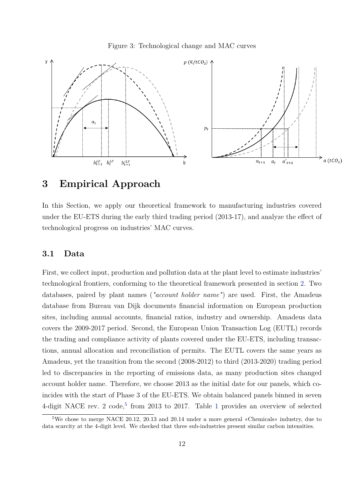



# **3 Empirical Approach**

In this Section, we apply our theoretical framework to manufacturing industries covered under the EU-ETS during the early third trading period (2013-17), and analyze the effect of technological progress on industries' MAC curves.

#### **3.1 Data**

First, we collect input, production and pollution data at the plant level to estimate industries' technological frontiers, conforming to the theoretical framework presented in section 2. Two databases, paired by plant names (*"account holder name"*) are used. First, the Amadeus database from Bureau van Dijk documents financial information on European production sites, including annual accounts, financial ratios, industry and ownership. Amadeus data covers the 2009-2017 period. Second, the European Union Transaction Log (EUTL) records the trading and compliance activity of plants covered under the EU-ETS, including transactions, annual allocation and reconciliation of permits. The EUTL covers the same years as Amadeus, yet the transition from the second (2008-2012) to third (2013-2020) trading period led to discrepancies in the reporting of emissions data, as many production sites changed account holder name. Therefore, we choose 2013 as the initial date for our panels, which coincides with the start of Phase 3 of the EU-ETS. We obtain balanced panels binned in seven 4-digit NACE rev. 2  $\mathrm{code}$ , from 2013 to 2017. Table 1 provides an overview of selected

<sup>5</sup>We chose to merge NACE 20.12, 20.13 and 20.14 under a more general «Chemicals» industry, due to data scarcity at the 4-digit level. We checked that three sub-industries present similar carbon intensities.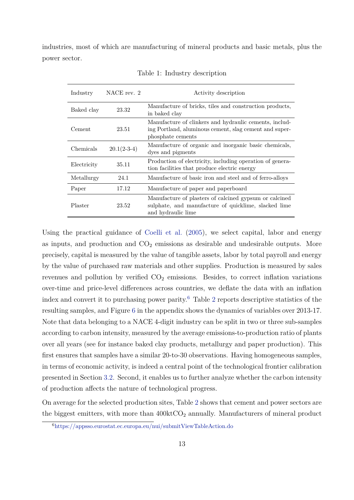industries, most of which are manufacturing of mineral products and basic metals, plus the power sector.

| Industry    | NACE rev. 2   | Activity description                                                                                                                  |
|-------------|---------------|---------------------------------------------------------------------------------------------------------------------------------------|
| Baked clay  | 23.32         | Manufacture of bricks, tiles and construction products,<br>in baked clay                                                              |
| Cement      | 23.51         | Manufacture of clinkers and hydraulic cements, includ-<br>ing Portland, aluminous cement, slag cement and super-<br>phosphate cements |
| Chemicals   | $20.1(2-3-4)$ | Manufacture of organic and inorganic basic chemicals,<br>dyes and pigments                                                            |
| Electricity | 35.11         | Production of electricity, including operation of genera-<br>tion facilities that produce electric energy                             |
| Metallurgy  | 24.1          | Manufacture of basic iron and steel and of ferro-alloys                                                                               |
| Paper       | 17.12         | Manufacture of paper and paperboard                                                                                                   |
| Plaster     | 23.52         | Manufacture of plasters of calcined gypsum or calcined<br>sulphate, and manufacture of quicklime, slacked lime<br>and hydraulic lime  |

Table 1: Industry description

Using the practical guidance of Coelli et al. (2005), we select capital, labor and energy as inputs, and production and  $CO<sub>2</sub>$  emissions as desirable and undesirable outputs. More precisely, capital is measured by the value of tangible assets, labor by total payroll and energy by the value of purchased raw materials and other supplies. Production is measured by sales revenues and pollution by verified  $CO<sub>2</sub>$  emissions. Besides, to correct inflation variations over-time and price-level differences across countries, we deflate the data with an inflation index and convert it to purchasing power parity.<sup>6</sup> Table 2 reports descriptive statistics of the resulting samples, and Figure 6 in the appendix shows the dynamics of variables over 2013-17. Note that data belonging to a NACE 4-digit industry can be split in two or three sub-samples according to carbon intensity, measured by the average emissions-to-production ratio of plants over all years (see for instance baked clay products, metallurgy and paper production). This first ensures that samples have a similar 20-to-30 observations. Having homogeneous samples, in terms of economic activity, is indeed a central point of the technological frontier calibration presented in Section 3.2. Second, it enables us to further analyze whether the carbon intensity of production affects the nature of technological progress.

On average for the selected production sites, Table 2 shows that cement and power sectors are the biggest emitters, with more than  $400 \text{kt}CO_2$  annually. Manufacturers of mineral product

<sup>6</sup>https://appsso.eurostat.ec.europa.eu/nui/submitViewTableAction.do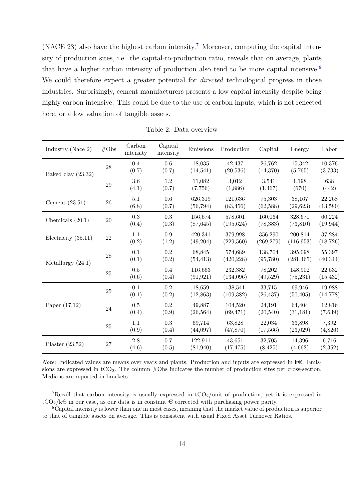(NACE 23) also have the highest carbon intensity.<sup>7</sup> Moreover, computing the capital intensity of production sites, i.e. the capital-to-production ratio, reveals that on average, plants that have a higher carbon intensity of production also tend to be more capital intensive.<sup>8</sup> We could therefore expect a greater potential for *directed* technological progress in those industries. Surprisingly, cement manufacturers presents a low capital intensity despite being highly carbon intensive. This could be due to the use of carbon inputs, which is not reflected here, or a low valuation of tangible assets.

| Industry (Nace $2$ )  | #Obs   | Carbon<br>intensity | Capital<br>intensity | Emissions            | Production            | Capital               | Energy                | Labor               |
|-----------------------|--------|---------------------|----------------------|----------------------|-----------------------|-----------------------|-----------------------|---------------------|
| Baked clay $(23.32)$  | 28     | 0.4<br>(0.7)        | 0.6<br>(0.7)         | 18,035<br>(14, 541)  | 42,437<br>(20, 536)   | 26,762<br>(14,370)    | 15,342<br>(5,765)     | 10,376<br>(3,733)   |
|                       | $\,29$ | 3.6<br>(4.1)        | 1.2<br>(0.7)         | 11,082<br>(7,756)    | 3,012<br>(1,886)      | 3,541<br>(1, 467)     | 1,198<br>(670)        | 638<br>(442)        |
| Cement $(23.51)$      | $26\,$ | 5.1<br>(6.8)        | 0.6<br>(0.7)         | 626,319<br>(56, 794) | 121,636<br>(83, 456)  | 75,303<br>(62,588)    | 38,167<br>(29, 623)   | 22,268<br>(13,580)  |
| Chemicals $(20.1)$    | $20\,$ | 0.3<br>(0.4)        | 0.3<br>(0.3)         | 156,674<br>(87, 645) | 578,601<br>(195, 624) | 160,064<br>(78, 383)  | 328,671<br>(73, 810)  | 60,224<br>(19, 944) |
| Electricity $(35.11)$ | $22\,$ | 1.1<br>(0.2)        | 0.9<br>(1.2)         | 420,341<br>(49,204)  | 379,998<br>(229,560)  | 356,290<br>(269, 279) | 200,814<br>(116, 953) | 37,284<br>(18, 726) |
| Metallurgy $(24.1)$   | 28     | 0.1<br>(0.1)        | 0.2<br>(0.2)         | 68,845<br>(54, 413)  | 574,689<br>(420, 228) | 138,704<br>(95,780)   | 395,098<br>(281, 465) | 55,397<br>(40, 344) |
|                       | $25\,$ | 0.5<br>(0.6)        | 0.4<br>(0.4)         | 116,663<br>(91, 921) | 232,382<br>(134,096)  | 78,202<br>(49,529)    | 148,902<br>(75, 231)  | 22,532<br>(15, 432) |
|                       | $25\,$ | 0.1<br>(0.1)        | 0.2<br>(0.2)         | 18,659<br>(12, 863)  | 138,541<br>(109, 382) | 33,715<br>(26, 437)   | 69,946<br>(50, 405)   | 19,988<br>(14, 778) |
| Paper $(17.12)$       | 24     | 0.5<br>(0.4)        | 0.2<br>(0.9)         | 49,887<br>(26, 564)  | 104,520<br>(69, 471)  | 24,191<br>(20,540)    | 64,404<br>(31, 181)   | 12,816<br>(7,639)   |
|                       | $25\,$ | 1.1<br>(0.9)        | 0.3<br>(0.4)         | 69,714<br>(44,097)   | 63,828<br>(47, 870)   | 22,034<br>(17,566)    | 33,898<br>(23,029)    | 7,392<br>(4,826)    |
| Plaster $(23.52)$     | $27\,$ | 2.8<br>(4.6)        | 0.7<br>(0.5)         | 122,911<br>(81, 940) | 43,651<br>(17, 475)   | 32,705<br>(8, 425)    | 14,396<br>(4,662)     | 6,716<br>(2,352)    |

Table 2: Data overview

*Note:* Indicated values are means over years and plants. Production and inputs are expressed in  $k\epsilon$ . Emissions are expressed in  $tCO<sub>2</sub>$ . The column #Obs indicates the number of production sites per cross-section. Medians are reported in brackets.

<sup>&</sup>lt;sup>7</sup>Recall that carbon intensity is usually expressed in  $tCO_2$ /unit of production, yet it is expressed in  $tCO_2/k\epsilon$  in our case, as our data is in constant  $\epsilon$  corrected with purchasing power parity.

<sup>8</sup>Capital intensity is lower than one in most cases, meaning that the market value of production is superior to that of tangible assets on average. This is consistent with usual Fixed Asset Turnover Ratios.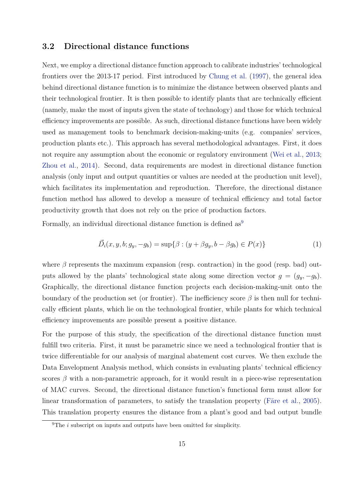#### **3.2 Directional distance functions**

Next, we employ a directional distance function approach to calibrate industries' technological frontiers over the 2013-17 period. First introduced by Chung et al. (1997), the general idea behind directional distance function is to minimize the distance between observed plants and their technological frontier. It is then possible to identify plants that are technically efficient (namely, make the most of inputs given the state of technology) and those for which technical efficiency improvements are possible. As such, directional distance functions have been widely used as management tools to benchmark decision-making-units (e.g. companies' services, production plants etc.). This approach has several methodological advantages. First, it does not require any assumption about the economic or regulatory environment (Wei et al., 2013; Zhou et al., 2014). Second, data requirements are modest in directional distance function analysis (only input and output quantities or values are needed at the production unit level), which facilitates its implementation and reproduction. Therefore, the directional distance function method has allowed to develop a measure of technical efficiency and total factor productivity growth that does not rely on the price of production factors.

Formally, an individual directional distance function is defined  $as<sup>9</sup>$ 

$$
\vec{D}_i(x, y, b; g_y, -g_b) = \sup \{ \beta : (y + \beta g_y, b - \beta g_b) \in P(x) \}
$$
 (1)

where  $\beta$  represents the maximum expansion (resp. contraction) in the good (resp. bad) outputs allowed by the plants' technological state along some direction vector  $q = (q_y, -q_b)$ . Graphically, the directional distance function projects each decision-making-unit onto the boundary of the production set (or frontier). The inefficiency score *β* is then null for technically efficient plants, which lie on the technological frontier, while plants for which technical efficiency improvements are possible present a positive distance.

For the purpose of this study, the specification of the directional distance function must fulfill two criteria. First, it must be parametric since we need a technological frontier that is twice differentiable for our analysis of marginal abatement cost curves. We then exclude the Data Envelopment Analysis method, which consists in evaluating plants' technical efficiency scores  $\beta$  with a non-parametric approach, for it would result in a piece-wise representation of MAC curves. Second, the directional distance function's functional form must allow for linear transformation of parameters, to satisfy the translation property (Färe et al., 2005). This translation property ensures the distance from a plant's good and bad output bundle

 $\sqrt[9]{\text{The }i}$  subscript on inputs and outputs have been omitted for simplicity.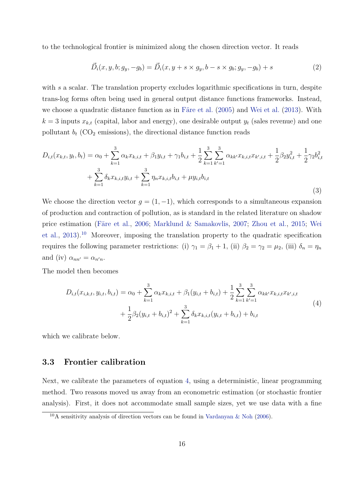to the technological frontier is minimized along the chosen direction vector. It reads

$$
\vec{D}_i(x, y, b; g_y, -g_b) = \vec{D}_i(x, y + s \times g_y, b - s \times g_b; g_y, -g_b) + s \tag{2}
$$

with *s* a scalar. The translation property excludes logarithmic specifications in turn, despite trans-log forms often being used in general output distance functions frameworks. Instead, we choose a quadratic distance function as in Färe et al. (2005) and Wei et al. (2013). With  $k = 3$  inputs  $x_{k,t}$  (capital, labor and energy), one desirable output  $y_t$  (sales revenue) and one pollutant  $b_t$  (CO<sub>2</sub> emissions), the directional distance function reads

$$
D_{i,t}(x_{k,t}, y_t, b_t) = \alpha_0 + \sum_{k=1}^3 \alpha_k x_{k,i,t} + \beta_1 y_{i,t} + \gamma_1 b_{i,t} + \frac{1}{2} \sum_{k=1}^3 \sum_{k'=1}^3 \alpha_{kk'} x_{k,i,t} x_{k',i,t} + \frac{1}{2} \beta_2 y_{i,t}^2 + \frac{1}{2} \gamma_2 b_{i,t}^2 + \sum_{k=1}^3 \delta_k x_{k,i,t} y_{i,t} + \sum_{k=1}^3 \eta_n x_{k,i,t} b_{i,t} + \mu y_{i,t} b_{i,t}
$$
\n
$$
(3)
$$

We choose the direction vector  $g = (1, -1)$ , which corresponds to a simultaneous expansion of production and contraction of pollution, as is standard in the related literature on shadow price estimation (Färe et al., 2006; Marklund & Samakovlis, 2007; Zhou et al., 2015; Wei et al., 2013).<sup>10</sup> Moreover, imposing the translation property to the quadratic specification requires the following parameter restrictions: (i)  $\gamma_1 = \beta_1 + 1$ , (ii)  $\beta_2 = \gamma_2 = \mu_2$ , (iii)  $\delta_n = \eta_n$ and (iv)  $\alpha_{nn'} = \alpha_{n'n}$ .

The model then becomes

$$
D_{i,t}(x_{i,k,t}, y_{i,t}, b_{i,t}) = \alpha_0 + \sum_{k=1}^3 \alpha_k x_{k,i,t} + \beta_1 (y_{i,t} + b_{i,t}) + \frac{1}{2} \sum_{k=1}^3 \sum_{k'=1}^3 \alpha_{kk'} x_{k,i,t} x_{k',i,t} + \frac{1}{2} \beta_2 (y_{i,t} + b_{i,t})^2 + \sum_{k=1}^3 \delta_k x_{k,i,t} (y_{i,t} + b_{i,t}) + b_{i,t}
$$
\n
$$
(4)
$$

which we calibrate below.

#### **3.3 Frontier calibration**

Next, we calibrate the parameters of equation 4, using a deterministic, linear programming method. Two reasons moved us away from an econometric estimation (or stochastic frontier analysis). First, it does not accommodate small sample sizes, yet we use data with a fine

 $10<sub>A</sub>$  sensitivity analysis of direction vectors can be found in Vardanyan & Noh (2006).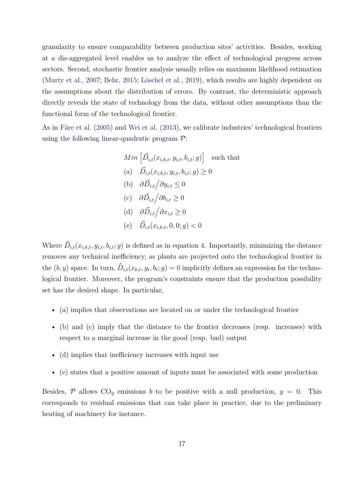granularity to ensure comparability between production sites' activities. Besides, working at a dis-aggregated level enables us to analyze the effect of technological progress across sectors. Second, stochastic frontier analysis usually relies on maximum likelihood estimation (Murty et al., 2007; Behr, 2015; Löschel et al., 2019), which results are highly dependent on the assumptions about the distribution of errors. By contrast, the deterministic approach directly reveals the state of technology from the data, without other assumptions than the functional form of the technological frontier.

As in Färe et al. (2005) and Wei et al. (2013), we calibrate industries' technological frontiers using the following linear-quadratic program  $\mathcal{P}$ :

Min 
$$
\left[\vec{D}_{i,t}(x_{i,k,t}, y_{i,t}, b_{i,t}; g)\right]
$$
 such that  
\n(a)  $\vec{D}_{i,t}(x_{i,k,t}, y_{i,t}, b_{i,t}; g) \ge 0$   
\n(b)  $\partial \vec{D}_{i,t} / \partial y_{i,t} \le 0$   
\n(c)  $\partial \vec{D}_{i,t} / \partial b_{i,t} \ge 0$   
\n(d)  $\partial \vec{D}_{i,t} / \partial x_{i,t} \ge 0$   
\n(e)  $\vec{D}_{i,t}(x_{i,k,t}, 0, 0; g) < 0$ 

Where  $\vec{D}_{i,t}(x_{i,k,t}, y_{i,t}, b_{i,t}; g)$  is defined as in equation 4. Importantly, minimizing the distance removes any technical inefficiency, as plants are projected onto the technological frontier in the  $(b, y)$  space. In turn,  $\hat{D}_{i,t}(x_{k,t}, y_t, b_t; g) = 0$  implicitly defines an expression for the technological frontier. Moreover, the program's constraints ensure that the production possibility set has the desired shape. In particular,

- (a) implies that observations are located on or under the technological frontier
- (b) and (c) imply that the distance to the frontier decreases (resp. increases) with respect to a marginal increase in the good (resp. bad) output
- (d) implies that inefficiency increases with input use
- (e) states that a positive amount of inputs must be associated with some production

Besides,  $P$  allows  $CO_2$  emissions *b* to be positive with a null production,  $y = 0$ . This corresponds to residual emissions that can take place in practice, due to the preliminary heating of machinery for instance.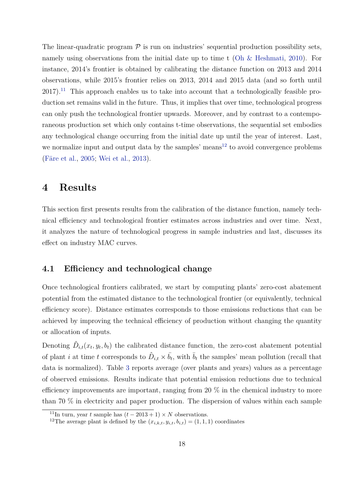The linear-quadratic program  $P$  is run on industries' sequential production possibility sets, namely using observations from the initial date up to time t (Oh & Heshmati, 2010). For instance, 2014's frontier is obtained by calibrating the distance function on 2013 and 2014 observations, while 2015's frontier relies on 2013, 2014 and 2015 data (and so forth until  $2017$ <sup>11</sup>. This approach enables us to take into account that a technologically feasible production set remains valid in the future. Thus, it implies that over time, technological progress can only push the technological frontier upwards. Moreover, and by contrast to a contemporaneous production set which only contains t-time observations, the sequential set embodies any technological change occurring from the initial date up until the year of interest. Last, we normalize input and output data by the samples' means $12$  to avoid convergence problems (Färe et al., 2005; Wei et al., 2013).

## **4 Results**

This section first presents results from the calibration of the distance function, namely technical efficiency and technological frontier estimates across industries and over time. Next, it analyzes the nature of technological progress in sample industries and last, discusses its effect on industry MAC curves.

#### **4.1 Efficiency and technological change**

Once technological frontiers calibrated, we start by computing plants' zero-cost abatement potential from the estimated distance to the technological frontier (or equivalently, technical efficiency score). Distance estimates corresponds to those emissions reductions that can be achieved by improving the technical efficiency of production without changing the quantity or allocation of inputs.

Denoting  $\hat{D}_{i,t}(x_t, y_t, b_t)$  the calibrated distance function, the zero-cost abatement potential of plant *i* at time *t* corresponds to  $\hat{D}_{i,t} \times \bar{b}_t$ , with  $\bar{b}_t$  the samples' mean pollution (recall that data is normalized). Table 3 reports average (over plants and years) values as a percentage of observed emissions. Results indicate that potential emission reductions due to technical efficiency improvements are important, ranging from 20 % in the chemical industry to more than 70 % in electricity and paper production. The dispersion of values within each sample

<sup>&</sup>lt;sup>11</sup>In turn, year *t* sample has  $(t - 2013 + 1) \times N$  observations.

<sup>&</sup>lt;sup>12</sup>The average plant is defined by the  $(x_{i,k,t}, y_{i,t}, b_{i,t}) = (1, 1, 1)$  coordinates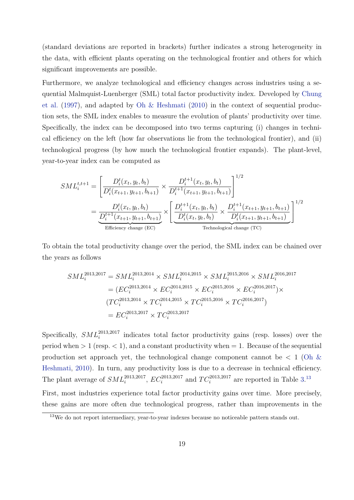(standard deviations are reported in brackets) further indicates a strong heterogeneity in the data, with efficient plants operating on the technological frontier and others for which significant improvements are possible.

Furthermore, we analyze technological and efficiency changes across industries using a sequential Malmquist-Luenberger (SML) total factor productivity index. Developed by Chung et al. (1997), and adapted by Oh & Heshmati (2010) in the context of sequential production sets, the SML index enables to measure the evolution of plants' productivity over time. Specifically, the index can be decomposed into two terms capturing (i) changes in technical efficiency on the left (how far observations lie from the technological frontier), and (ii) technological progress (by how much the technological frontier expands). The plant-level, year-to-year index can be computed as

$$
SML_i^{t,t+1} = \left[ \frac{D_i^t(x_t, y_t, b_t)}{D_i^t(x_{t+1}, y_{t+1}, b_{t+1})} \times \frac{D_i^{t+1}(x_t, y_t, b_t)}{D_i^{t+1}(x_{t+1}, y_{t+1}, b_{t+1})} \right]^{1/2}
$$
  
= 
$$
\frac{D_i^t(x_t, y_t, b_t)}{D_i^{t+1}(x_{t+1}, y_{t+1}, b_{t+1})} \times \left[ \frac{D_i^{t+1}(x_t, y_t, b_t)}{D_i^t(x_t, y_t, b_t)} \times \frac{D_i^{t+1}(x_{t+1}, y_{t+1}, b_{t+1})}{D_i^t(x_{t+1}, y_{t+1}, b_{t+1})} \right]^{1/2}
$$
  
Efficiency change (EC) Technology

To obtain the total productivity change over the period, the SML index can be chained over the years as follows

$$
SML_i^{2013,2017} = SML_i^{2013,2014} \times SML_i^{2014,2015} \times SML_i^{2015,2016} \times SML_i^{2016,2017}
$$
  
=  $(EC_i^{2013,2014} \times EC_i^{2014,2015} \times EC_i^{2015,2016} \times EC_i^{2016,2017}) \times$   
 $(TC_i^{2013,2014} \times TC_i^{2014,2015} \times TC_i^{2015,2016} \times TC_i^{2016,2017})$   
=  $EC_i^{2013,2017} \times TC_i^{2013,2017}$ 

Specifically,  $SML_i^{2013,2017}$  indicates total factor productivity gains (resp. losses) over the period when  $> 1$  (resp.  $< 1$ ), and a constant productivity when  $= 1$ . Because of the sequential production set approach yet, the technological change component cannot be *<* 1 (Oh & Heshmati, 2010). In turn, any productivity loss is due to a decrease in technical efficiency. The plant average of  $SML_i^{2013,2017}$ ,  $EC_i^{2013,2017}$  and  $TC_i^{2013,2017}$  are reported in Table 3.<sup>13</sup>

First, most industries experience total factor productivity gains over time. More precisely, these gains are more often due technological progress, rather than improvements in the

<sup>&</sup>lt;sup>13</sup>We do not report intermediary, year-to-year indexes because no noticeable pattern stands out.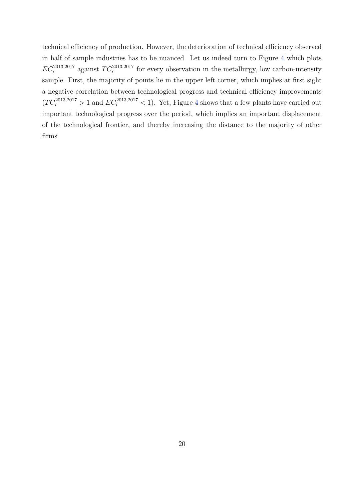technical efficiency of production. However, the deterioration of technical efficiency observed in half of sample industries has to be nuanced. Let us indeed turn to Figure 4 which plots  $EC_i^{2013,2017}$  against  $TC_i^{2013,2017}$  for every observation in the metallurgy, low carbon-intensity sample. First, the majority of points lie in the upper left corner, which implies at first sight a negative correlation between technological progress and technical efficiency improvements  $(T C_i^{2013,2017} > 1$  and  $EC_i^{2013,2017} < 1$ ). Yet, Figure 4 shows that a few plants have carried out important technological progress over the period, which implies an important displacement of the technological frontier, and thereby increasing the distance to the majority of other firms.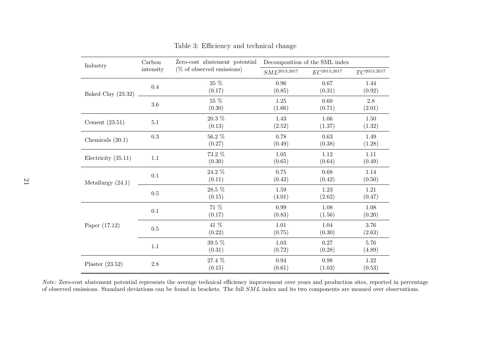| Industry              | Carbon    | Zero-cost abatement potential |                   | Decomposition of the SML index |                  |
|-----------------------|-----------|-------------------------------|-------------------|--------------------------------|------------------|
|                       | intensity | $(\%$ of observed emissions)  | $SML^{2013,2017}$ | $EC^{2013,2017}$               | $TC^{2013,2017}$ |
|                       | $0.4\,$   | 35 %                          | 0.96              | 0.67                           | 1.44             |
| Baked Clay (23.32)    |           | (0.17)                        | (0.85)            | (0.31)                         | (0.92)           |
|                       | $3.6\,$   | $55~\%$                       | 1.25              | 0.60                           | 2.8              |
|                       |           | (0.30)                        | (1.66)            | (0.71)                         | (2.01)           |
|                       |           | $20.3~\%$                     | 1.43              | 1.06                           | 1.50             |
| Cement $(23.51)$      | $5.1\,$   | (0.13)                        | (2.52)            | (1.37)                         | (1.32)           |
|                       | $\rm 0.3$ | $56.2~\%$                     | 0.78              | 0.63                           | 1.49             |
| Chemicals $(20.1)$    |           | (0.27)                        | (0.49)            | (0.38)                         | (1.28)           |
|                       |           | 73.2 %                        | 1.05              | 1.12                           | 1.11             |
| Electricity $(35.11)$ | $1.1\,$   | (0.30)                        | (0.65)            | (0.64)                         | (0.49)           |
|                       |           | $24.2~\%$                     | $0.75\,$          | 0.68                           | 1.14             |
| Metallurgy $(24.1)$   | $0.1\,$   | (0.11)                        | (0.43)            | (0.42)                         | (0.50)           |
|                       | $0.5\,$   | $28.5~\%$                     | 1.59              | 1.23                           | 1.21             |
|                       |           | (0.15)                        | (4.01)            | (2.62)                         | (0.47)           |
|                       |           | $71~\%$                       | 0.99              | 1.08                           | 1.08             |
|                       | $0.1\,$   | (0.17)                        | (0.83)            | (1.56)                         | (0.20)           |
| Paper $(17.12)$       |           | $41~\%$                       | 1.01              | 1.04                           | 3.76             |
|                       | $0.5\,$   | (0.22)                        | (0.75)            | (0.30)                         | (2.63)           |
|                       |           | 39.5 %                        | 1.03              | 0.27                           | 5.76             |
|                       | $1.1\,$   | (0.31)                        | (0.72)            | (0.28)                         | (4.89)           |
|                       |           | 27.4 %                        | 0.94              | 0.98                           | 1.22             |
| Plaster $(23.52)$     | $2.8\,$   | (0.15)                        | (0.61)            | (1.03)                         | (0.53)           |

Table 3: Efficiency and technical change

*Note:* Zero-cost abatement potential represents the average technical efficiency improvement over years and production sites, reported in percentage of observed emissions. Standard deviations can be found in brackets. The full *SML* index and its two components are meaned over observations.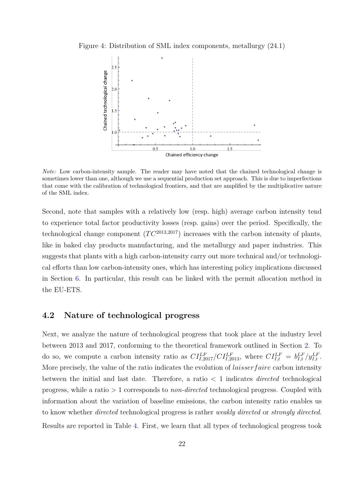Figure 4: Distribution of SML index components, metallurgy (24.1)



*Note:* Low carbon-intensity sample. The reader may have noted that the chained technological change is sometimes lower than one, although we use a sequential production set approach. This is due to imperfections that come with the calibration of technological frontiers, and that are amplified by the multiplicative nature of the SML index.

Second, note that samples with a relatively low (resp. high) average carbon intensity tend to experience total factor productivity losses (resp. gains) over the period. Specifically, the technological change component  $(T C^{2013,2017})$  increases with the carbon intensity of plants, like in baked clay products manufacturing, and the metallurgy and paper industries. This suggests that plants with a high carbon-intensity carry out more technical and/or technological efforts than low carbon-intensity ones, which has interesting policy implications discussed in Section 6. In particular, this result can be linked with the permit allocation method in the EU-ETS.

#### **4.2 Nature of technological progress**

Next, we analyze the nature of technological progress that took place at the industry level between 2013 and 2017, conforming to the theoretical framework outlined in Section 2. To do so, we compute a carbon intensity ratio as  $CI_{I,2017}^{LF}/CI_{I,2013}^{LF}$ , where  $CI_{I,t}^{LF} = b_{I,t}^{LF}/y_{I,t}^{LF}$ . More precisely, the value of the ratio indicates the evolution of *laisserf aire* carbon intensity between the initial and last date. Therefore, a ratio *<* 1 indicates *directed* technological progress, while a ratio *>* 1 corresponds to *non-directed* technological progress. Coupled with information about the variation of baseline emissions, the carbon intensity ratio enables us to know whether *directed* technological progress is rather *weakly directed* or *strongly directed*. Results are reported in Table 4. First, we learn that all types of technological progress took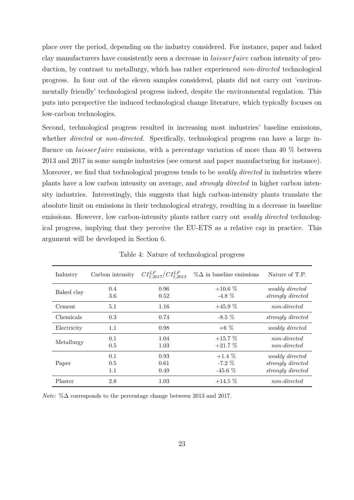place over the period, depending on the industry considered. For instance, paper and baked clay manufacturers have consistently seen a decrease in *laisserf aire* carbon intensity of production, by contrast to metallurgy, which has rather experienced *non-directed* technological progress. In four out of the eleven samples considered, plants did not carry out 'environmentally friendly' technological progress indeed, despite the environmental regulation. This puts into perspective the induced technological change literature, which typically focuses on low-carbon technologies.

Second, technological progress resulted in increasing most industries' baseline emissions, whether *directed* or *non-directed*. Specifically, technological progress can have a large influence on *laisser faire* emissions, with a percentage variation of more than 40 % between 2013 and 2017 in some sample industries (see cement and paper manufacturing for instance). Moreover, we find that technological progress tends to be *weakly directed* in industries where plants have a low carbon intensity on average, and *strongly directed* in higher carbon intensity industries. Interestingly, this suggests that high carbon-intensity plants translate the absolute limit on emissions in their technological strategy, resulting in a decrease in baseline emissions. However, low carbon-intensity plants rather carry out *weakly directed* technological progress, implying that they perceive the EU-ETS as a relative cap in practice. This argument will be developed in Section 6.

| Industry    | Carbon intensity  | $CI_{I,2017}^{LF}/CI_{I,2013}^{LF}$ | $\% \Delta$ in baseline emissions | Nature of T.P.                                            |
|-------------|-------------------|-------------------------------------|-----------------------------------|-----------------------------------------------------------|
| Baked clay  | 0.4<br>3.6        | 0.96<br>0.52                        | $+10.6\%$<br>$-4.8\%$             | weakly directed<br>strongly directed                      |
| Cement      | 5.1               | 1.16                                | $+45.9%$                          | non-directed                                              |
| Chemicals   | 0.3               | 0.74                                | $-8.5\%$                          | strongly directed                                         |
| Electricity | 1.1               | 0.98                                | $+6\%$                            | weakly directed                                           |
| Metallurgy  | 0.1<br>0.5        | 1.04<br>1.03                        | $+15.7\%$<br>$+21.7%$             | non-directed<br>non-directed                              |
| Paper       | 0.1<br>0.5<br>1.1 | 0.93<br>0.61<br>0.49                | $+1.4\%$<br>$-7.2\%$<br>$-45.6\%$ | weakly directed<br>strongly directed<br>strongly directed |
| Plaster     | 2.8               | 1.03                                | $+14.5\%$                         | non-directed                                              |

Table 4: Nature of technological progress

*Note:* %∆ corresponds to the percentage change between 2013 and 2017.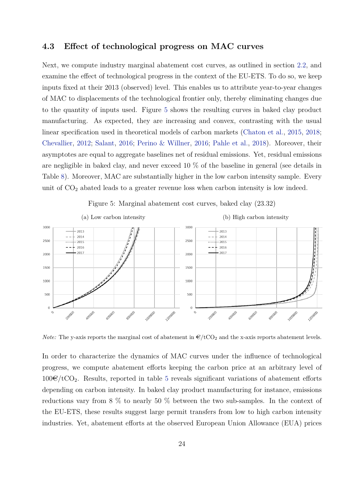#### **4.3 Effect of technological progress on MAC curves**

Next, we compute industry marginal abatement cost curves, as outlined in section 2.2, and examine the effect of technological progress in the context of the EU-ETS. To do so, we keep inputs fixed at their 2013 (observed) level. This enables us to attribute year-to-year changes of MAC to displacements of the technological frontier only, thereby eliminating changes due to the quantity of inputs used. Figure 5 shows the resulting curves in baked clay product manufacturing. As expected, they are increasing and convex, contrasting with the usual linear specification used in theoretical models of carbon markets (Chaton et al., 2015, 2018; Chevallier, 2012; Salant, 2016; Perino & Willner, 2016; Pahle et al., 2018). Moreover, their asymptotes are equal to aggregate baselines net of residual emissions. Yet, residual emissions are negligible in baked clay, and never exceed 10 % of the baseline in general (see details in Table 8). Moreover, MAC are substantially higher in the low carbon intensity sample. Every unit of  $CO<sub>2</sub>$  abated leads to a greater revenue loss when carbon intensity is low indeed.



Figure 5: Marginal abatement cost curves, baked clay (23.32)

*Note:* The y-axis reports the marginal cost of abatement in  $\mathcal{L}/tCO_2$  and the x-axis reports abatement levels.

In order to characterize the dynamics of MAC curves under the influence of technological progress, we compute abatement efforts keeping the carbon price at an arbitrary level of  $100\mathcal{C}/tCO<sub>2</sub>$ . Results, reported in table 5 reveals significant variations of abatement efforts depending on carbon intensity. In baked clay product manufacturing for instance, emissions reductions vary from 8 % to nearly 50 % between the two sub-samples. In the context of the EU-ETS, these results suggest large permit transfers from low to high carbon intensity industries. Yet, abatement efforts at the observed European Union Allowance (EUA) prices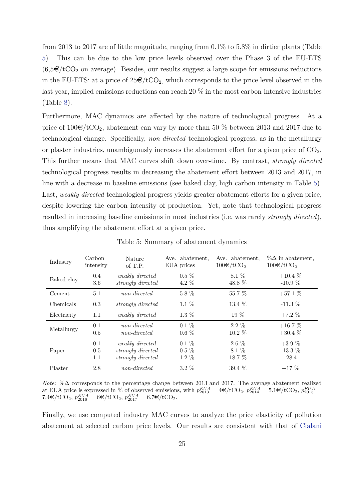from 2013 to 2017 are of little magnitude, ranging from 0*.*1% to 5*.*8% in dirtier plants (Table 5). This can be due to the low price levels observed over the Phase 3 of the EU-ETS  $(6.5\epsilon/tCO<sub>2</sub>$  on average). Besides, our results suggest a large scope for emissions reductions in the EU-ETS: at a price of  $25 \times (1002)$ , which corresponds to the price level observed in the last year, implied emissions reductions can reach 20 % in the most carbon-intensive industries (Table 8).

Furthermore, MAC dynamics are affected by the nature of technological progress. At a price of  $100\epsilon/\text{tCO}_2$ , abatement can vary by more than 50 % between 2013 and 2017 due to technological change. Specifically, *non-directed* technological progress, as in the metallurgy or plaster industries, unambiguously increases the abatement effort for a given price of  $CO<sub>2</sub>$ . This further means that MAC curves shift down over-time. By contrast, *strongly directed* technological progress results in decreasing the abatement effort between 2013 and 2017, in line with a decrease in baseline emissions (see baked clay, high carbon intensity in Table 5). Last, *weakly directed* technological progress yields greater abatement efforts for a given price, despite lowering the carbon intensity of production. Yet, note that technological progress resulted in increasing baseline emissions in most industries (i.e. was rarely *strongly directed*), thus amplifying the abatement effort at a given price.

| Industry    | Carbon    | Nature            | Ave. abatement, | Ave. abatement,     | $\%\Delta$ in abatement, |
|-------------|-----------|-------------------|-----------------|---------------------|--------------------------|
|             | intensity | of T.P.           | EUA prices      | $100 \times / tCO2$ | $100 \times / tCO2$      |
| Baked clay  | 0.4       | weakly directed   | $0.5\%$         | 8.1 \%              | $+10.4\%$                |
|             | 3.6       | strongly directed | $4.2\%$         | 48.8 %              | $-10.9\%$                |
| Cement      | 5.1       | non-directed      | $5.8\%$         | 55.7 %              | $+57.1%$                 |
| Chemicals   | 0.3       | strongly directed | $1.1\%$         | 13.4 $%$            | $-11.3\%$                |
| Electricity | 1.1       | weakly directed   | $1.3\%$         | $19\%$              | $+7.2\%$                 |
| Metallurgy  | 0.1       | non-directed      | $0.1\%$         | $2.2\%$             | $+16.7\%$                |
|             | 0.5       | non-directed      | $0.6\%$         | $10.2\%$            | $+30.4\%$                |
| Paper       | 0.1       | weakly directed   | $0.1\%$         | $2.6\%$             | $+3.9%$                  |
|             | 0.5       | strongly directed | $0.5\%$         | 8.1 \%              | $-13.3\%$                |
|             | 1.1       | strongly directed | $1.2\%$         | $18.7\%$            | $-28.4$                  |
| Plaster     | 2.8       | non-directed      | $3.2\%$         | $39.4\%$            | $+17\%$                  |

Table 5: Summary of abatement dynamics

*Note:* %∆ corresponds to the percentage change between 2013 and 2017. The average abatement realized at EUA price is expressed in % of observed emissions, with  $p_{2013}^{EUA} = 4\mathbf{\mathbf{\mathfrak{C}}}/\text{tCO}_2$ ,  $p_{2014}^{EUA} = 5.1\mathbf{\mathbf{\mathfrak{C}}}/\text{tCO}_2$ ,  $p_{2015}^{EUA} = 5.1\mathbf{\mathbf{\mathfrak{C}}}/\text{tCO}_2$  $7.4\mathbf{\in}/\text{tCO}_2$ ,  $p_{2016}^{EUA} = 6\mathbf{\in}/\text{tCO}_2$ ,  $p_{2017}^{EUA} = 6.7\mathbf{\in}/\text{tCO}_2$ .

Finally, we use computed industry MAC curves to analyze the price elasticity of pollution abatement at selected carbon price levels. Our results are consistent with that of Cialani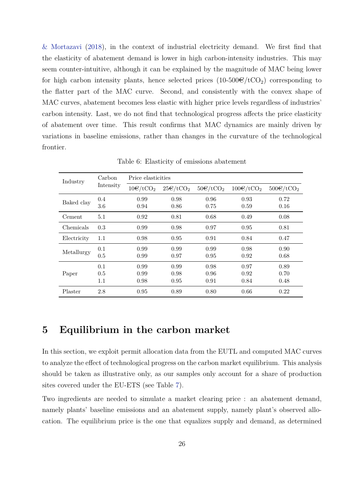& Mortazavi (2018), in the context of industrial electricity demand. We first find that the elasticity of abatement demand is lower in high carbon-intensity industries. This may seem counter-intuitive, although it can be explained by the magnitude of MAC being lower for high carbon intensity plants, hence selected prices  $(10\n-500 \n\epsilon/tCO<sub>2</sub>)$  corresponding to the flatter part of the MAC curve. Second, and consistently with the convex shape of MAC curves, abatement becomes less elastic with higher price levels regardless of industries' carbon intensity. Last, we do not find that technological progress affects the price elasticity of abatement over time. This result confirms that MAC dynamics are mainly driven by variations in baseline emissions, rather than changes in the curvature of the technological frontier.

| Industry    | Carbon                | Price elasticities         |                             |                      |                      |                      |
|-------------|-----------------------|----------------------------|-----------------------------|----------------------|----------------------|----------------------|
|             | Intensity             | $10 \times / t \times O_2$ | $25 \times / t \text{CO}_2$ | $50 \times / tCO2$   | $100 \times / tCO2$  | $500 \times / tCO2$  |
| Baked clay  | 0.4<br>3.6            | 0.99<br>0.94               | 0.98<br>0.86                | 0.96<br>0.75         | 0.93<br>0.59         | 0.72<br>0.16         |
| Cement      | 5.1                   | 0.92                       | 0.81                        | 0.68                 | 0.49                 | 0.08                 |
| Chemicals   | 0.3                   | 0.99                       | 0.98                        | 0.97                 | 0.95                 | 0.81                 |
| Electricity | 1.1                   | 0.98                       | 0.95                        | 0.91                 | 0.84                 | 0.47                 |
| Metallurgy  | 0.1<br>0.5            | 0.99<br>0.99               | 0.99<br>0.97                | 0.99<br>0.95         | 0.98<br>0.92         | 0.90<br>0.68         |
| Paper       | 0.1<br>0.5<br>$1.1\,$ | 0.99<br>0.99<br>0.98       | 0.99<br>0.98<br>0.95        | 0.98<br>0.96<br>0.91 | 0.97<br>0.92<br>0.84 | 0.89<br>0.70<br>0.48 |
| Plaster     | 2.8                   | 0.95                       | 0.89                        | 0.80                 | 0.66                 | 0.22                 |

Table 6: Elasticity of emissions abatement

# **5 Equilibrium in the carbon market**

In this section, we exploit permit allocation data from the EUTL and computed MAC curves to analyze the effect of technological progress on the carbon market equilibrium. This analysis should be taken as illustrative only, as our samples only account for a share of production sites covered under the EU-ETS (see Table 7).

Two ingredients are needed to simulate a market clearing price : an abatement demand, namely plants' baseline emissions and an abatement supply, namely plant's observed allocation. The equilibrium price is the one that equalizes supply and demand, as determined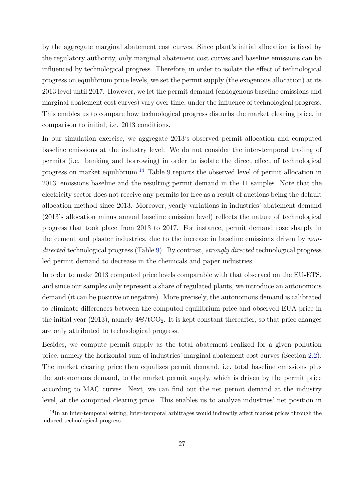by the aggregate marginal abatement cost curves. Since plant's initial allocation is fixed by the regulatory authority, only marginal abatement cost curves and baseline emissions can be influenced by technological progress. Therefore, in order to isolate the effect of technological progress on equilibrium price levels, we set the permit supply (the exogenous allocation) at its 2013 level until 2017. However, we let the permit demand (endogenous baseline emissions and marginal abatement cost curves) vary over time, under the influence of technological progress. This enables us to compare how technological progress disturbs the market clearing price, in comparison to initial, i.e. 2013 conditions.

In our simulation exercise, we aggregate 2013's observed permit allocation and computed baseline emissions at the industry level. We do not consider the inter-temporal trading of permits (i.e. banking and borrowing) in order to isolate the direct effect of technological progress on market equilibrium.<sup>14</sup> Table 9 reports the observed level of permit allocation in 2013, emissions baseline and the resulting permit demand in the 11 samples. Note that the electricity sector does not receive any permits for free as a result of auctions being the default allocation method since 2013. Moreover, yearly variations in industries' abatement demand (2013's allocation minus annual baseline emission level) reflects the nature of technological progress that took place from 2013 to 2017. For instance, permit demand rose sharply in the cement and plaster industries, due to the increase in baseline emissions driven by *nondirected* technological progress (Table 9). By contrast, *strongly directed* technological progress led permit demand to decrease in the chemicals and paper industries.

In order to make 2013 computed price levels comparable with that observed on the EU-ETS, and since our samples only represent a share of regulated plants, we introduce an autonomous demand (it can be positive or negative). More precisely, the autonomous demand is calibrated to eliminate differences between the computed equilibrium price and observed EUA price in the initial year (2013), namely  $4\epsilon$ /tCO<sub>2</sub>. It is kept constant thereafter, so that price changes are only attributed to technological progress.

Besides, we compute permit supply as the total abatement realized for a given pollution price, namely the horizontal sum of industries' marginal abatement cost curves (Section 2.2). The market clearing price then equalizes permit demand, i.e. total baseline emissions plus the autonomous demand, to the market permit supply, which is driven by the permit price according to MAC curves. Next, we can find out the net permit demand at the industry level, at the computed clearing price. This enables us to analyze industries' net position in

<sup>&</sup>lt;sup>14</sup>In an inter-temporal setting, inter-temporal arbitrages would indirectly affect market prices through the induced technological progress.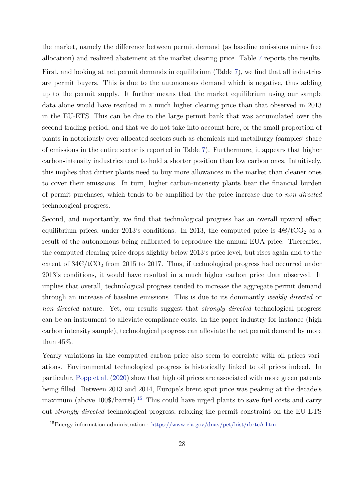the market, namely the difference between permit demand (as baseline emissions minus free allocation) and realized abatement at the market clearing price. Table 7 reports the results. First, and looking at net permit demands in equilibrium (Table 7), we find that all industries are permit buyers. This is due to the autonomous demand which is negative, thus adding up to the permit supply. It further means that the market equilibrium using our sample data alone would have resulted in a much higher clearing price than that observed in 2013 in the EU-ETS. This can be due to the large permit bank that was accumulated over the second trading period, and that we do not take into account here, or the small proportion of plants in notoriously over-allocated sectors such as chemicals and metallurgy (samples' share of emissions in the entire sector is reported in Table 7). Furthermore, it appears that higher carbon-intensity industries tend to hold a shorter position than low carbon ones. Intuitively, this implies that dirtier plants need to buy more allowances in the market than cleaner ones to cover their emissions. In turn, higher carbon-intensity plants bear the financial burden of permit purchases, which tends to be amplified by the price increase due to *non-directed* technological progress.

Second, and importantly, we find that technological progress has an overall upward effect equilibrium prices, under 2013's conditions. In 2013, the computed price is  $4\epsilon$ /tCO<sub>2</sub> as a result of the autonomous being calibrated to reproduce the annual EUA price. Thereafter, the computed clearing price drops slightly below 2013's price level, but rises again and to the extent of  $34\epsilon$ /tCO<sub>2</sub> from 2015 to 2017. Thus, if technological progress had occurred under 2013's conditions, it would have resulted in a much higher carbon price than observed. It implies that overall, technological progress tended to increase the aggregate permit demand through an increase of baseline emissions. This is due to its dominantly *weakly directed* or *non-directed* nature. Yet, our results suggest that *strongly directed* technological progress can be an instrument to alleviate compliance costs. In the paper industry for instance (high carbon intensity sample), technological progress can alleviate the net permit demand by more than 45%.

Yearly variations in the computed carbon price also seem to correlate with oil prices variations. Environmental technological progress is historically linked to oil prices indeed. In particular, Popp et al. (2020) show that high oil prices are associated with more green patents being filled. Between 2013 and 2014, Europe's brent spot price was peaking at the decade's maximum (above  $100\frac{15}{5}$  This could have urged plants to save fuel costs and carry out *strongly directed* technological progress, relaxing the permit constraint on the EU-ETS

<sup>15</sup>Energy information administration : https://www.eia.gov/dnav/pet/hist/rbrteA.htm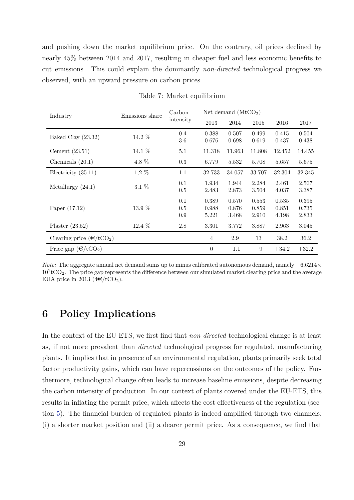and pushing down the market equilibrium price. On the contrary, oil prices declined by nearly 45% between 2014 and 2017, resulting in cheaper fuel and less economic benefits to cut emissions. This could explain the dominantly *non-directed* technological progress we observed, with an upward pressure on carbon prices.

| Industry                          | Emissions share | Carbon    |                  | Net demand $(MtCO2)$ |        |         |         |
|-----------------------------------|-----------------|-----------|------------------|----------------------|--------|---------|---------|
|                                   |                 | intensity | 2013             | 2014                 | 2015   | 2016    | 2017    |
| Baked Clay $(23.32)$              | $14.2\%$        | 0.4       | 0.388            | 0.507                | 0.499  | 0.415   | 0.504   |
|                                   |                 | 3.6       | 0.676            | 0.698                | 0.619  | 0.437   | 0.438   |
| Cement $(23.51)$                  | 14.1 %          | 5.1       | 11.318           | 11.963               | 11.808 | 12.452  | 14.455  |
| Chemicals $(20.1)$                | 4.8 %           | 0.3       | 6.779            | 5.532                | 5.708  | 5.657   | 5.675   |
| Electricity $(35.11)$             | $1,2\%$         | 1.1       | 32.733           | 34.057               | 33.707 | 32.304  | 32.345  |
| Metallurgy $(24.1)$               | $3.1\%$         | 0.1       | 1.934            | 1.944                | 2.284  | 2.461   | 2.507   |
|                                   |                 | $0.5\,$   | 2.483            | 2.873                | 3.504  | 4.037   | 3.387   |
|                                   |                 | 0.1       | 0.389            | 0.570                | 0.553  | 0.535   | 0.395   |
| Paper (17.12)                     | $13.9\%$        | 0.5       | 0.988            | 0.876                | 0.859  | 0.851   | 0.735   |
|                                   |                 | 0.9       | 5.221            | 3.468                | 2.910  | 4.198   | 2.833   |
| Plaster $(23.52)$                 | 12.4 %          | 2.8       | 3.301            | 3.772                | 3.887  | 2.963   | 3.045   |
| Clearing price $(\epsilon/tCO_2)$ |                 |           | $\overline{4}$   | 2.9                  | 13     | 38.2    | 36.2    |
| Price gap $(\epsilon/tCO_2)$      |                 |           | $\boldsymbol{0}$ | $-1.1$               | $+9$   | $+34.2$ | $+32.2$ |

Table 7: Market equilibrium

*Note:* The aggregate annual net demand sums up to minus calibrated autonomous demand, namely −6*.6214*×  $10^{7}$ tCO<sub>2</sub>. The price gap represents the difference between our simulated market clearing price and the average EUA price in 2013 ( $4 \times / t \times C_2$ ).

# **6 Policy Implications**

In the context of the EU-ETS, we first find that *non-directed* technological change is at least as, if not more prevalent than *directed* technological progress for regulated, manufacturing plants. It implies that in presence of an environmental regulation, plants primarily seek total factor productivity gains, which can have repercussions on the outcomes of the policy. Furthermore, technological change often leads to increase baseline emissions, despite decreasing the carbon intensity of production. In our context of plants covered under the EU-ETS, this results in inflating the permit price, which affects the cost effectiveness of the regulation (section 5). The financial burden of regulated plants is indeed amplified through two channels: (i) a shorter market position and (ii) a dearer permit price. As a consequence, we find that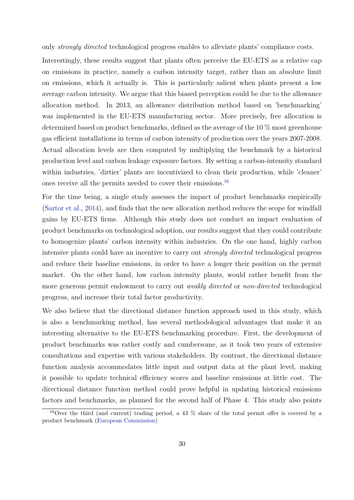only *strongly directed* technological progress enables to alleviate plants' compliance costs.

Interestingly, these results suggest that plants often perceive the EU-ETS as a relative cap on emissions in practice, namely a carbon intensity target, rather than an absolute limit on emissions, which it actually is. This is particularly salient when plants present a low average carbon intensity. We argue that this biased perception could be due to the allowance allocation method. In 2013, an allowance distribution method based on 'benchmarking' was implemented in the EU-ETS manufacturing sector. More precisely, free allocation is determined based on product benchmarks, defined as the average of the 10 % most greenhouse gas efficient installations in terms of carbon intensity of production over the years 2007-2008. Actual allocation levels are then computed by multiplying the benchmark by a historical production level and carbon leakage exposure factors. By setting a carbon-intensity standard within industries, 'dirtier' plants are incentivized to clean their production, while 'cleaner' ones receive all the permits needed to cover their emissions.<sup>16</sup>

For the time being, a single study assesses the impact of product benchmarks empirically (Sartor et al., 2014), and finds that the new allocation method reduces the scope for windfall gains by EU-ETS firms. Although this study does not conduct an impact evaluation of product benchmarks on technological adoption, our results suggest that they could contribute to homogenize plants' carbon intensity within industries. On the one hand, highly carbon intensive plants could have an incentive to carry out *strongly directed* technological progress and reduce their baseline emissions, in order to have a longer their position on the permit market. On the other hand, low carbon intensity plants, would rather benefit from the more generous permit endowment to carry out *weakly directed* or *non-directed* technological progress, and increase their total factor productivity.

We also believe that the directional distance function approach used in this study, which is also a benchmarking method, has several methodological advantages that make it an interesting alternative to the EU-ETS benchmarking procedure. First, the development of product benchmarks was rather costly and cumbersome, as it took two years of extensive consultations and expertise with various stakeholders. By contrast, the directional distance function analysis accommodates little input and output data at the plant level, making it possible to update technical efficiency scores and baseline emissions at little cost. The directional distance function method could prove helpful in updating historical emissions factors and benchmarks, as planned for the second half of Phase 4. This study also points

<sup>&</sup>lt;sup>16</sup>Over the third (and current) trading period, a 43 % share of the total permit offer is covered by a product benchmark (European Commission)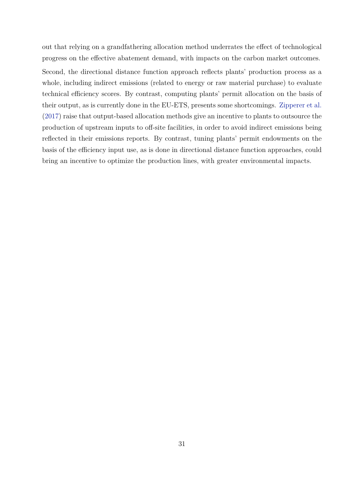out that relying on a grandfathering allocation method underrates the effect of technological progress on the effective abatement demand, with impacts on the carbon market outcomes.

Second, the directional distance function approach reflects plants' production process as a whole, including indirect emissions (related to energy or raw material purchase) to evaluate technical efficiency scores. By contrast, computing plants' permit allocation on the basis of their output, as is currently done in the EU-ETS, presents some shortcomings. Zipperer et al. (2017) raise that output-based allocation methods give an incentive to plants to outsource the production of upstream inputs to off-site facilities, in order to avoid indirect emissions being reflected in their emissions reports. By contrast, tuning plants' permit endowments on the basis of the efficiency input use, as is done in directional distance function approaches, could bring an incentive to optimize the production lines, with greater environmental impacts.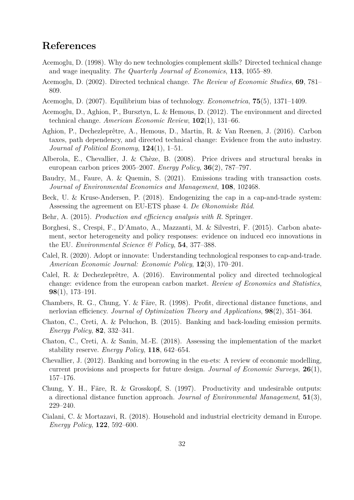# **References**

- Acemoglu, D. (1998). Why do new technologies complement skills? Directed technical change and wage inequality. *The Quarterly Journal of Economics*, **113**, 1055–89.
- Acemoglu, D. (2002). Directed technical change. *The Review of Economic Studies*, **69**, 781– 809.
- Acemoglu, D. (2007). Equilibrium bias of technology. *Econometrica*, **75**(5), 1371–1409.
- Acemoglu, D., Aghion, P., Bursztyn, L. & Hemous, D. (2012). The environment and directed technical change. *American Economic Review*, **102**(1), 131–66.
- Aghion, P., Dechezleprêtre, A., Hemous, D., Martin, R. & Van Reenen, J. (2016). Carbon taxes, path dependency, and directed technical change: Evidence from the auto industry. *Journal of Political Economy*, **124**(1), 1–51.
- Alberola, E., Chevallier, J. & Chèze, B. (2008). Price drivers and structural breaks in european carbon prices 2005–2007. *Energy Policy*, **36**(2), 787–797.
- Baudry, M., Faure, A. & Quemin, S. (2021). Emissions trading with transaction costs. *Journal of Environmental Economics and Management*, **108**, 102468.
- Beck, U. & Kruse-Andersen, P. (2018). Endogenizing the cap in a cap-and-trade system: Assessing the agreement on EU-ETS phase 4. *De Økonomiske Råd*.
- Behr, A. (2015). *Production and efficiency analysis with R*. Springer.
- Borghesi, S., Crespi, F., D'Amato, A., Mazzanti, M. & Silvestri, F. (2015). Carbon abatement, sector heterogeneity and policy responses: evidence on induced eco innovations in the EU. *Environmental Science & Policy*, **54**, 377–388.
- Calel, R. (2020). Adopt or innovate: Understanding technological responses to cap-and-trade. *American Economic Journal: Economic Policy*, **12**(3), 170–201.
- Calel, R. & Dechezleprêtre, A. (2016). Environmental policy and directed technological change: evidence from the european carbon market. *Review of Economics and Statistics*, **98**(1), 173–191.
- Chambers, R. G., Chung, Y. & Färe, R. (1998). Profit, directional distance functions, and nerlovian efficiency. *Journal of Optimization Theory and Applications*, **98**(2), 351–364.
- Chaton, C., Creti, A. & Peluchon, B. (2015). Banking and back-loading emission permits. *Energy Policy*, **82**, 332–341.
- Chaton, C., Creti, A. & Sanin, M.-E. (2018). Assessing the implementation of the market stability reserve. *Energy Policy*, **118**, 642–654.
- Chevallier, J. (2012). Banking and borrowing in the eu-ets: A review of economic modelling, current provisions and prospects for future design. *Journal of Economic Surveys*, **26**(1), 157–176.
- Chung, Y. H., Färe, R. & Grosskopf, S. (1997). Productivity and undesirable outputs: a directional distance function approach. *Journal of Environmental Management*, **51**(3), 229–240.
- Cialani, C. & Mortazavi, R. (2018). Household and industrial electricity demand in Europe. *Energy Policy*, **122**, 592–600.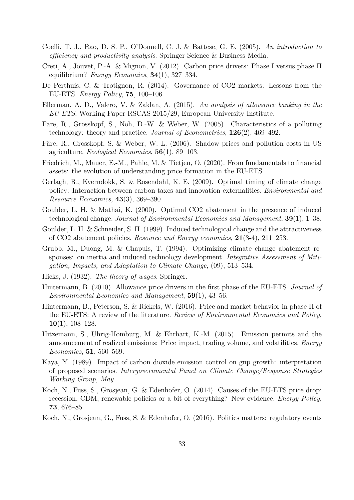- Coelli, T. J., Rao, D. S. P., O'Donnell, C. J. & Battese, G. E. (2005). *An introduction to efficiency and productivity analysis*. Springer Science & Business Media.
- Creti, A., Jouvet, P.-A. & Mignon, V. (2012). Carbon price drivers: Phase I versus phase II equilibrium? *Energy Economics*, **34**(1), 327–334.
- De Perthuis, C. & Trotignon, R. (2014). Governance of CO2 markets: Lessons from the EU-ETS. *Energy Policy*, **75**, 100–106.
- Ellerman, A. D., Valero, V. & Zaklan, A. (2015). *An analysis of allowance banking in the EU-ETS*. Working Paper RSCAS 2015/29, European University Institute.
- Färe, R., Grosskopf, S., Noh, D.-W. & Weber, W. (2005). Characteristics of a polluting technology: theory and practice. *Journal of Econometrics*, **126**(2), 469–492.
- Färe, R., Grosskopf, S. & Weber, W. L. (2006). Shadow prices and pollution costs in US agriculture. *Ecological Economics*, **56**(1), 89–103.
- Friedrich, M., Mauer, E.-M., Pahle, M. & Tietjen, O. (2020). From fundamentals to financial assets: the evolution of understanding price formation in the EU-ETS.
- Gerlagh, R., Kverndokk, S. & Rosendahl, K. E. (2009). Optimal timing of climate change policy: Interaction between carbon taxes and innovation externalities. *Environmental and Resource Economics*, **43**(3), 369–390.
- Goulder, L. H. & Mathai, K. (2000). Optimal CO2 abatement in the presence of induced technological change. *Journal of Environmental Economics and Management*, **39**(1), 1–38.
- Goulder, L. H. & Schneider, S. H. (1999). Induced technological change and the attractiveness of CO2 abatement policies. *Resource and Energy economics*, **21**(3-4), 211–253.
- Grubb, M., Duong, M. & Chapuis, T. (1994). Optimizing climate change abatement responses: on inertia and induced technology development. *Integrative Assessment of Mitigation, Impacts, and Adaptation to Climate Change*, (09), 513–534.
- Hicks, J. (1932). *The theory of wages*. Springer.
- Hintermann, B. (2010). Allowance price drivers in the first phase of the EU-ETS. *Journal of Environmental Economics and Management*, **59**(1), 43–56.
- Hintermann, B., Peterson, S. & Rickels, W. (2016). Price and market behavior in phase II of the EU-ETS: A review of the literature. *Review of Environmental Economics and Policy*, **10**(1), 108–128.
- Hitzemann, S., Uhrig-Homburg, M. & Ehrhart, K.-M. (2015). Emission permits and the announcement of realized emissions: Price impact, trading volume, and volatilities. *Energy Economics*, **51**, 560–569.
- Kaya, Y. (1989). Impact of carbon dioxide emission control on gnp growth: interpretation of proposed scenarios. *Intergovernmental Panel on Climate Change/Response Strategies Working Group, May*.
- Koch, N., Fuss, S., Grosjean, G. & Edenhofer, O. (2014). Causes of the EU-ETS price drop: recession, CDM, renewable policies or a bit of everything? New evidence. *Energy Policy*, **73**, 676–85.
- Koch, N., Grosjean, G., Fuss, S. & Edenhofer, O. (2016). Politics matters: regulatory events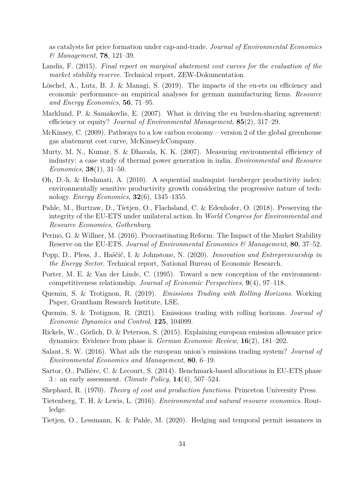as catalysts for price formation under cap-and-trade. *Journal of Environmental Economics & Management*, **78**, 121–39.

- Landis, F. (2015). *Final report on marginal abatement cost curves for the evaluation of the market stability reserve*. Technical report, ZEW-Dokumentation.
- Löschel, A., Lutz, B. J. & Managi, S. (2019). The impacts of the eu-ets on efficiency and economic performance–an empirical analyses for german manufacturing firms. *Resource and Energy Economics*, **56**, 71–95.
- Marklund, P. & Samakovlis, E. (2007). What is driving the eu burden-sharing agreement: efficiency or equity? *Journal of Environmental Management*, **85**(2), 317–29.
- McKinsey, C. (2009). Pathways to a low carbon economy version 2 of the global greenhouse gas abatement cost curve, McKinsey&Company.
- Murty, M. N., Kumar, S. & Dhavala, K. K. (2007). Measuring environmental efficiency of industry: a case study of thermal power generation in india. *Environmental and Resource Economics*, **38**(1), 31–50.
- Oh, D.-h. & Heshmati, A. (2010). A sequential malmquist–luenberger productivity index: environmentally sensitive productivity growth considering the progressive nature of technology. *Energy Economics*, **32**(6), 1345–1355.
- Pahle, M., Burtraw, D., Tietjen, O., Flachsland, C. & Edenhofer, O. (2018). Preserving the integrity of the EU-ETS under unilateral action. In *World Congress for Environmental and Resource Economics, Gothenburg*.
- Perino, G. & Willner, M. (2016). Procrastinating Reform: The Impact of the Market Stability Reserve on the EU-ETS. *Journal of Environmental Economics & Management*, **80**, 37–52.
- Popp, D., Pless, J., Haščič, I. & Johnstone, N. (2020). *Innovation and Entrepreneurship in the Energy Sector*. Technical report, National Bureau of Economic Research.
- Porter, M. E. & Van der Linde, C. (1995). Toward a new conception of the environmentcompetitiveness relationship. *Journal of Economic Perspectives*, **9**(4), 97–118.
- Quemin, S. & Trotignon, R. (2019). *Emissions Trading with Rolling Horizons*. Working Paper, Grantham Research Institute, LSE.
- Quemin, S. & Trotignon, R. (2021). Emissions trading with rolling horizons. *Journal of Economic Dynamics and Control*, **125**, 104099.
- Rickels, W., Görlich, D. & Peterson, S. (2015). Explaining european emission allowance price dynamics: Evidence from phase ii. *German Economic Review*, **16**(2), 181–202.
- Salant, S. W. (2016). What ails the european union's emissions trading system? *Journal of Environmental Economics and Management*, **80**, 6–19.
- Sartor, O., Pallière, C. & Lecourt, S. (2014). Benchmark-based allocations in EU-ETS phase 3 : an early assessment. *Climate Policy*, **14**(4), 507–524.
- Shephard, R. (1970). *Theory of cost and production functions*. Princeton University Press.
- Tietenberg, T. H. & Lewis, L. (2016). *Environmental and natural resource economics*. Routledge.
- Tietjen, O., Lessmann, K. & Pahle, M. (2020). Hedging and temporal permit issuances in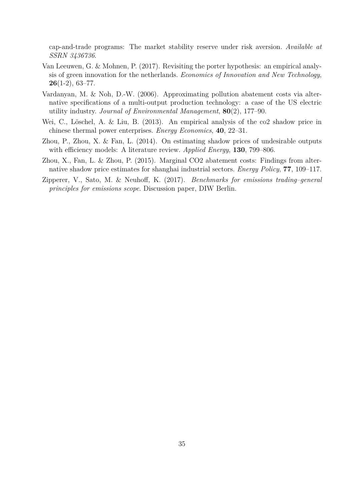cap-and-trade programs: The market stability reserve under risk aversion. *Available at SSRN 3436736*.

- Van Leeuwen, G. & Mohnen, P. (2017). Revisiting the porter hypothesis: an empirical analysis of green innovation for the netherlands. *Economics of Innovation and New Technology*, **26**(1-2), 63–77.
- Vardanyan, M. & Noh, D.-W. (2006). Approximating pollution abatement costs via alternative specifications of a multi-output production technology: a case of the US electric utility industry. *Journal of Environmental Management*, **80**(2), 177–90.
- Wei, C., Löschel, A. & Liu, B. (2013). An empirical analysis of the co2 shadow price in chinese thermal power enterprises. *Energy Economics*, **40**, 22–31.
- Zhou, P., Zhou, X. & Fan, L. (2014). On estimating shadow prices of undesirable outputs with efficiency models: A literature review. *Applied Energy*, **130**, 799–806.
- Zhou, X., Fan, L. & Zhou, P. (2015). Marginal CO2 abatement costs: Findings from alternative shadow price estimates for shanghai industrial sectors. *Energy Policy*, **77**, 109–117.
- Zipperer, V., Sato, M. & Neuhoff, K. (2017). *Benchmarks for emissions trading–general principles for emissions scope*. Discussion paper, DIW Berlin.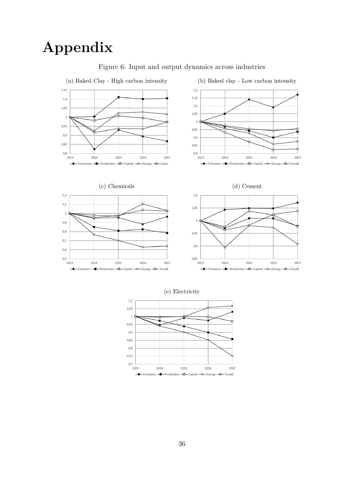# **Appendix**



Figure 6: Input and output dynamics across industries

(e) Electricity

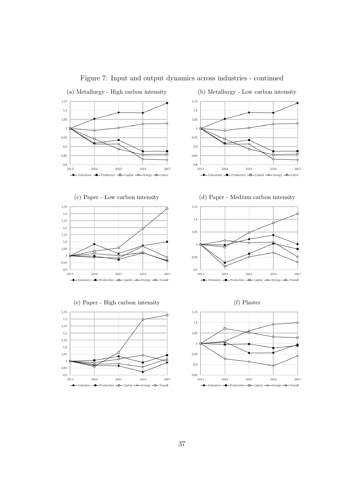

Figure 7: Input and output dynamics across industries - continued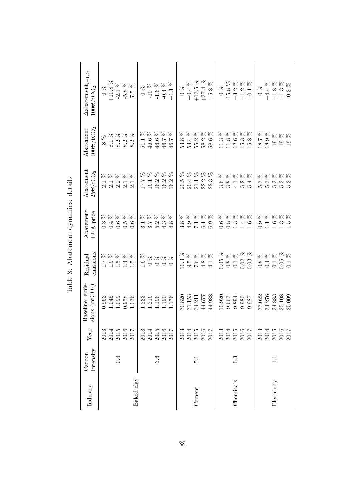| Industry    | Intensity<br>Carbon | Year                                                                   | Baseline emis-<br>sions $(mtCO2)$ | emissions<br>Residual                                                                                                                                                                                                                                          | Abatement<br>EUA price                                                                                                                                  | Abatement<br>$25 \in$ /tCO <sub>2</sub>                                                                                                                                                                      | $100 \in$ / $tCO_2$<br>Abatement                                                                                                                       | $\Delta$ abatement $_{t-1,t},$<br>$100 \text{C}/\text{tCO}_2$                                                                                                                                                                                                                                                                                                                         |
|-------------|---------------------|------------------------------------------------------------------------|-----------------------------------|----------------------------------------------------------------------------------------------------------------------------------------------------------------------------------------------------------------------------------------------------------------|---------------------------------------------------------------------------------------------------------------------------------------------------------|--------------------------------------------------------------------------------------------------------------------------------------------------------------------------------------------------------------|--------------------------------------------------------------------------------------------------------------------------------------------------------|---------------------------------------------------------------------------------------------------------------------------------------------------------------------------------------------------------------------------------------------------------------------------------------------------------------------------------------------------------------------------------------|
|             |                     |                                                                        | 0.963                             |                                                                                                                                                                                                                                                                | $0.\overline{3}$                                                                                                                                        |                                                                                                                                                                                                              |                                                                                                                                                        | $\frac{8}{6}$                                                                                                                                                                                                                                                                                                                                                                         |
|             |                     |                                                                        | 1.045                             |                                                                                                                                                                                                                                                                |                                                                                                                                                         |                                                                                                                                                                                                              |                                                                                                                                                        | $+10.8$ %                                                                                                                                                                                                                                                                                                                                                                             |
|             | 0.4                 |                                                                        | 1.099<br>0.958                    |                                                                                                                                                                                                                                                                | $0.66$<br>$0.5$                                                                                                                                         |                                                                                                                                                                                                              |                                                                                                                                                        |                                                                                                                                                                                                                                                                                                                                                                                       |
|             |                     | $\begin{array}{c} 2013 \\ 2014 \\ 2015 \\ 2016 \\ 2017 \\ \end{array}$ |                                   | $\begin{aligned} \mathcal{R} \hspace{0.1cm} \mathcal{R} \hspace{0.1cm} \mathcal{R} \hspace{0.1cm} \mathcal{R} \hspace{0.1cm} \mathcal{R} \hspace{0.1cm} \mathcal{R} \hspace{0.1cm} \end{aligned}$<br>$\begin{array}{c} 1.9646 \\ 1.1111 \\ 1.1111 \end{array}$ | $888888$                                                                                                                                                | 88888<br>1 1 2 1 1<br>2 2 2 1 2                                                                                                                                                                              | $888888$<br>$813333$<br>$8333$                                                                                                                         | $-2.1\%$<br>$-5.8\%$                                                                                                                                                                                                                                                                                                                                                                  |
| Baked clay  |                     |                                                                        | 1.036                             |                                                                                                                                                                                                                                                                | 0.6                                                                                                                                                     |                                                                                                                                                                                                              |                                                                                                                                                        | $7.5~\%$                                                                                                                                                                                                                                                                                                                                                                              |
|             |                     |                                                                        | 1.233                             | ×<br>1.6                                                                                                                                                                                                                                                       |                                                                                                                                                         | 17.7                                                                                                                                                                                                         |                                                                                                                                                        |                                                                                                                                                                                                                                                                                                                                                                                       |
|             |                     | $\begin{array}{c} 2013 \\ 2014 \\ 2015 \\ 2016 \\ 2017 \end{array}$    |                                   |                                                                                                                                                                                                                                                                | $\begin{aligned} \mathcal{R} &\,\,\mathcal{R} \,\,\mathcal{R} \,\,\mathcal{R} \,\,\mathcal{R} \,\,\mathcal{R} \\ \end{aligned}$<br>$17728$<br>3 3 4 4 4 | $\begin{aligned} \mathcal{R} &\,\, \mathcal{R} \,\, \mathcal{R} \,\, \mathcal{R} \,\, \mathcal{R} \,\, \\ \mathcal{R} &\,\, \mathcal{R} \,\, \mathcal{R} \,\, \mathcal{R} \,\, \\ \end{aligned}$<br>$16.1\,$ | $\begin{aligned} \mathcal{R} &\,\,\mathcal{R} \,\,\mathcal{R} \,\,\mathcal{R} \,\,\mathcal{R} \,\,\mathcal{R} \\ \end{aligned}$<br>$\frac{51.1}{46.6}$ | $\begin{array}{c} 0 \\ 0 \\ 7 \\ 0 \\ 1 \\ 0 \\ 4 \\ 8 \\ 7 \\ 1 \\ 9 \\ 6 \\ 9 \\ 9 \\ 1 \\ 1 \\ 2 \\ 4 \\ 1 \\ 3 \\ 4 \\ 1 \\ 4 \\ 5 \\ 6 \\ 7 \\ 1 \\ 1 \\ 2 \\ 3 \\ 4 \\ 1 \\ 4 \\ 5 \\ 6 \\ 7 \\ 1 \\ 1 \\ 4 \\ 5 \\ 6 \\ 7 \\ 1 \\ 1 \\ 1 \\ 2 \\ 3 \\ 4 \\ 1 \\ 4 \\ 1 \\ 4 \\ 5 \\ 1 \\ 5 \\ 4 \\ 1 \\ 5 \\ 6 \\ 1 \\ 1 \\ 4 \\ 1 \\ 5 \\ 1 \\ 5 \\ 4 \\ 1 \\ 5 \\ 4 \\ 5 \\$ |
|             | 3.6                 |                                                                        | 1.216<br>1.196                    | $\begin{array}{l} \mathcal{R} \mathcal{R} \mathcal{R} \mathcal{R} \end{array}$<br>$\circ \circ \circ \circ \circ$                                                                                                                                              |                                                                                                                                                         | $16.2\,$                                                                                                                                                                                                     | $46.6\,$                                                                                                                                               |                                                                                                                                                                                                                                                                                                                                                                                       |
|             |                     |                                                                        | $1.190\,$                         |                                                                                                                                                                                                                                                                |                                                                                                                                                         | 16.2 <sup>1</sup>                                                                                                                                                                                            | $46.7\,$                                                                                                                                               |                                                                                                                                                                                                                                                                                                                                                                                       |
|             |                     |                                                                        | 1.176                             |                                                                                                                                                                                                                                                                |                                                                                                                                                         | 16.2                                                                                                                                                                                                         | 46.7                                                                                                                                                   |                                                                                                                                                                                                                                                                                                                                                                                       |
|             |                     |                                                                        | 30.820                            | $10.3~\%$                                                                                                                                                                                                                                                      | 3.8                                                                                                                                                     |                                                                                                                                                                                                              | 53.8                                                                                                                                                   | $\frac{6}{2}$                                                                                                                                                                                                                                                                                                                                                                         |
|             |                     |                                                                        | 31.153                            |                                                                                                                                                                                                                                                                |                                                                                                                                                         |                                                                                                                                                                                                              | $53.4\,$                                                                                                                                               |                                                                                                                                                                                                                                                                                                                                                                                       |
| Cement      | $\frac{1}{2}$       | $\begin{array}{c} 2013 \\ 2014 \\ 2015 \\ 2016 \\ 2017 \\ \end{array}$ | 34.211                            | $\begin{aligned} \mathcal{R} &\times \mathcal{R} &\times \mathcal{R} \end{aligned}$                                                                                                                                                                            | $\begin{array}{l} \mathcal{R} \; \mathcal{R} \; \mathcal{R} \; \mathcal{R} \; \mathcal{R} \\ \end{array}$<br>$4.9$ $7.1$                                | 8 8 8 8 8<br>5 4 1 2 3<br>8 8 1 2 8 8<br>8 9 1 2 8 8                                                                                                                                                         | <b>XXXXX</b><br>55.2                                                                                                                                   | $\begin{array}{c} +0.4~\% \\ +13.5~\% \\ +37.4~\% \end{array}$                                                                                                                                                                                                                                                                                                                        |
|             |                     |                                                                        | 44.677                            |                                                                                                                                                                                                                                                                | 6.3                                                                                                                                                     |                                                                                                                                                                                                              | $58.2$<br>$58.6$                                                                                                                                       |                                                                                                                                                                                                                                                                                                                                                                                       |
|             |                     |                                                                        | $44.988\,$                        |                                                                                                                                                                                                                                                                |                                                                                                                                                         |                                                                                                                                                                                                              |                                                                                                                                                        | $+5.8~\%$                                                                                                                                                                                                                                                                                                                                                                             |
|             |                     |                                                                        | 10.920                            | $0.05~\%$                                                                                                                                                                                                                                                      | 0.6                                                                                                                                                     | 3.6                                                                                                                                                                                                          | 11.3                                                                                                                                                   |                                                                                                                                                                                                                                                                                                                                                                                       |
|             |                     | $\begin{array}{c} 2013 \\ 2014 \\ 2015 \\ 2016 \\ 2017 \\ \end{array}$ | 9.663                             | $\begin{aligned} \begin{array}{c} \mathcal{R} & \mathcal{R} \otimes \mathcal{R} \\ \end{array} \end{aligned}$<br>$\begin{array}{c} 0.8 \\ 0.1 \\ 0.02 \\ 0.03 \end{array}$                                                                                     | $\begin{aligned} \mathcal{R} &\,\,\mathcal{R} \,\,\mathcal{R} \,\,\mathcal{R} \,\,\mathcal{R} \,\,\mathcal{R} \\ \end{aligned}$                         | R R R R R<br>$3.\overline{3}$<br>$\overline{4}.\overline{2}$<br>$\overline{5}.\overline{2}$                                                                                                                  | $\begin{aligned} \mathcal{R} &\,\,\mathcal{R} \,\,\mathcal{R} \,\,\mathcal{R} \,\,\mathcal{R} \,\,\mathcal{R} \\ \end{aligned}$<br>$11.8$              | $\begin{array}{c} 0 \ \% \\ -15.8 \\ +3.2 \\ +1.2 \\ +1.1 \\ +0.1 \\ \end{array}$                                                                                                                                                                                                                                                                                                     |
| Chemicals   | $0.\overline{3}$    |                                                                        | 9.894                             |                                                                                                                                                                                                                                                                |                                                                                                                                                         |                                                                                                                                                                                                              | $12.6\,$                                                                                                                                               |                                                                                                                                                                                                                                                                                                                                                                                       |
|             |                     |                                                                        | 0.980                             |                                                                                                                                                                                                                                                                | $0.\overline{3}$<br>$1.\overline{4}$                                                                                                                    |                                                                                                                                                                                                              | $15.3$<br>$15.8$                                                                                                                                       |                                                                                                                                                                                                                                                                                                                                                                                       |
|             |                     |                                                                        | 9.987                             |                                                                                                                                                                                                                                                                | 1.6                                                                                                                                                     | 5.4                                                                                                                                                                                                          |                                                                                                                                                        |                                                                                                                                                                                                                                                                                                                                                                                       |
|             |                     |                                                                        | 33.022                            |                                                                                                                                                                                                                                                                |                                                                                                                                                         | 5.3                                                                                                                                                                                                          | 18.7 %                                                                                                                                                 | $0~\%$                                                                                                                                                                                                                                                                                                                                                                                |
|             |                     | $\begin{array}{c} 2013 \\ 2014 \\ 2015 \\ 2016 \\ 2017 \end{array}$    | 34.276                            | そそももち<br>$0.34$<br>$0.1$                                                                                                                                                                                                                                       | $\begin{aligned} \mathcal{R} &\,\,\mathcal{R} \,\,\mathcal{R} \,\,\mathcal{R} \,\,\mathcal{R} \,\,\mathcal{R} \\ \end{aligned}$<br>0.1925               | <b>XXXXX</b>                                                                                                                                                                                                 | $18.9~\%$                                                                                                                                              | $\begin{array}{l} +4.4 ~\% \\ +1.8 ~\% \\ +1.3 ~\% \end{array}$                                                                                                                                                                                                                                                                                                                       |
| Electricity | $\Xi$               |                                                                        | 34.883                            |                                                                                                                                                                                                                                                                |                                                                                                                                                         |                                                                                                                                                                                                              | $\%$ $\%$ $\%$<br>$\overline{01}$                                                                                                                      |                                                                                                                                                                                                                                                                                                                                                                                       |
|             |                     |                                                                        | 35.108                            | $0.05\,$                                                                                                                                                                                                                                                       |                                                                                                                                                         |                                                                                                                                                                                                              | $\frac{61}{19}$                                                                                                                                        |                                                                                                                                                                                                                                                                                                                                                                                       |
|             |                     |                                                                        | 35.009                            | 0.1                                                                                                                                                                                                                                                            |                                                                                                                                                         | 5.3                                                                                                                                                                                                          |                                                                                                                                                        | $-0.3~\%$                                                                                                                                                                                                                                                                                                                                                                             |

Table 8: Abatement dynamics: details Table 8: Abatement dynamics: details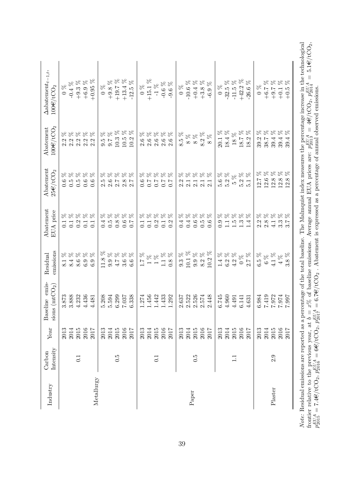| $\begin{array}{l} 9.3 \\ 0.1 \\ 10.1 \\ 9.2 \\ 8.2 \\ 10.2 \\ \end{array}$<br>$0.9888$<br>$0.7668$<br>$0.666$<br>$\begin{array}{l} 1.7~\% \\ 1~\% \\ 1~\% \\ 1.1~\% \\ 0.8~\% \end{array}$<br>$\begin{array}{c} 1.4\\ 6.2\\  6.3\\ 4.2\\ 8\\ 8\\ 7\\ 8\\ 9\\ 8\\ 7\\ 7\\ 8\\ 9\\ 1\\ 7\\ 9\\ 8\\ 9\\ 9\\ 9\\ 1\\ 7\\ 9\\ 8\\ 9\\ 1\\ 7\\ 9\\ 8\\ 1\\ 1\\ 1\\ 1\\ 2\\ 3\\ 3\\ 4\\ 1\\ 4\\ 1\\ 2\\ 3\\ 4\\ 1\\ 4\\ 1\\ 2\\ 3\\ 4\\ 3\\ 4\\ 4\\ 4\\ 4\\ 5\\ 1\\ 3\\ 4\\ 4\\ 5\\ 1\\ 4\\ 5\\ 1\\ 4\\ 5\\ 1\\$<br>11.8<br>1 4 6 9 9<br>8 8 8 9 6<br>6.5<br>3.888<br>3.873<br>4.232<br>4.436<br>5.208<br>6.299<br>6.338<br>1.274<br>1.456<br>1.442<br>1.433<br>1.292<br>$2.522$<br>$2.526$<br>2.448<br>6.745<br>5.594<br>2.637<br>2.574<br>4.960<br>7.037<br>6.984<br>4.481<br>4.491<br>4.631<br>6.141<br>2016<br>2013<br>2014<br>2015<br>2017<br>2013<br>2014<br>$2015\,$<br>2016<br>2017<br>2013<br>2014<br>2015<br>2016<br>2017<br>2013<br>2014<br>$\begin{array}{c} 2015 \\ 2016 \end{array}$<br>$2013$<br>$2014$<br>2015<br>2016<br>2013<br>2014<br>2017<br>2017<br>6.5<br>6.5<br>0.1<br>0.1<br>$\Xi$<br>Metallurgy<br>Paper | 88888          | EUA price                                                                                                                                                                  | $25 \in / tCO2$                                                                                                                                                                                                              | $100 \in \text{/tCO}_2$                                                | $100 \in \mathcal{N}$ CO <sub>2</sub>                                                                                                                                                                                                                                                                                                                                               |
|-----------------------------------------------------------------------------------------------------------------------------------------------------------------------------------------------------------------------------------------------------------------------------------------------------------------------------------------------------------------------------------------------------------------------------------------------------------------------------------------------------------------------------------------------------------------------------------------------------------------------------------------------------------------------------------------------------------------------------------------------------------------------------------------------------------------------------------------------------------------------------------------------------------------------------------------------------------------------------------------------------------------------------------------------------------------------------------------------------------------------------|----------------|----------------------------------------------------------------------------------------------------------------------------------------------------------------------------|------------------------------------------------------------------------------------------------------------------------------------------------------------------------------------------------------------------------------|------------------------------------------------------------------------|-------------------------------------------------------------------------------------------------------------------------------------------------------------------------------------------------------------------------------------------------------------------------------------------------------------------------------------------------------------------------------------|
|                                                                                                                                                                                                                                                                                                                                                                                                                                                                                                                                                                                                                                                                                                                                                                                                                                                                                                                                                                                                                                                                                                                             |                |                                                                                                                                                                            | 0.6                                                                                                                                                                                                                          |                                                                        | $\frac{6}{2}$                                                                                                                                                                                                                                                                                                                                                                       |
|                                                                                                                                                                                                                                                                                                                                                                                                                                                                                                                                                                                                                                                                                                                                                                                                                                                                                                                                                                                                                                                                                                                             |                | <b>XXXXX</b><br>$\begin{array}{c} 1.1 \\ 0.1 \end{array}$                                                                                                                  | $\begin{aligned} \mathcal{R} &\,\,\mathcal{R} \,\,\mathcal{R} \,\,\mathcal{R} \,\,\mathcal{R} \,\,\mathcal{R} \\ \end{aligned}$<br>$0.\overline{5}$                                                                          | ちょうちょ<br>2<br>2<br>2<br>2<br>2<br>2<br>2<br>2<br>2<br>2<br>2<br>2<br>2 | $-0.4~\%$                                                                                                                                                                                                                                                                                                                                                                           |
|                                                                                                                                                                                                                                                                                                                                                                                                                                                                                                                                                                                                                                                                                                                                                                                                                                                                                                                                                                                                                                                                                                                             |                | 0.1                                                                                                                                                                        | $\begin{array}{c} 0.5 \\ 0.6 \end{array}$                                                                                                                                                                                    |                                                                        | $\begin{matrix} +9.3 \\ +6.9 \\ \% \end{matrix}$                                                                                                                                                                                                                                                                                                                                    |
|                                                                                                                                                                                                                                                                                                                                                                                                                                                                                                                                                                                                                                                                                                                                                                                                                                                                                                                                                                                                                                                                                                                             |                |                                                                                                                                                                            |                                                                                                                                                                                                                              |                                                                        |                                                                                                                                                                                                                                                                                                                                                                                     |
|                                                                                                                                                                                                                                                                                                                                                                                                                                                                                                                                                                                                                                                                                                                                                                                                                                                                                                                                                                                                                                                                                                                             |                | 0.1                                                                                                                                                                        | 0.6                                                                                                                                                                                                                          |                                                                        | $+0.95%$                                                                                                                                                                                                                                                                                                                                                                            |
|                                                                                                                                                                                                                                                                                                                                                                                                                                                                                                                                                                                                                                                                                                                                                                                                                                                                                                                                                                                                                                                                                                                             | $\%$           |                                                                                                                                                                            |                                                                                                                                                                                                                              | $\beta_{\rm C}$<br>9.5                                                 | $\sim 0$ %                                                                                                                                                                                                                                                                                                                                                                          |
|                                                                                                                                                                                                                                                                                                                                                                                                                                                                                                                                                                                                                                                                                                                                                                                                                                                                                                                                                                                                                                                                                                                             |                |                                                                                                                                                                            |                                                                                                                                                                                                                              | $\beta_{\rm C}$<br>9.7                                                 | $+9.8$ %                                                                                                                                                                                                                                                                                                                                                                            |
|                                                                                                                                                                                                                                                                                                                                                                                                                                                                                                                                                                                                                                                                                                                                                                                                                                                                                                                                                                                                                                                                                                                             |                |                                                                                                                                                                            |                                                                                                                                                                                                                              |                                                                        | $+19.7~\%$                                                                                                                                                                                                                                                                                                                                                                          |
|                                                                                                                                                                                                                                                                                                                                                                                                                                                                                                                                                                                                                                                                                                                                                                                                                                                                                                                                                                                                                                                                                                                             |                | $888888$                                                                                                                                                                   | $888888$<br>5<br>0<br>0<br>0<br>0<br>0<br>0<br>0<br>0<br>0<br>0<br>0                                                                                                                                                         | $10.3\ \%$ 10.5 $\%$                                                   | $+13.4~%$                                                                                                                                                                                                                                                                                                                                                                           |
|                                                                                                                                                                                                                                                                                                                                                                                                                                                                                                                                                                                                                                                                                                                                                                                                                                                                                                                                                                                                                                                                                                                             |                |                                                                                                                                                                            |                                                                                                                                                                                                                              | $10.2~\%$                                                              | $-12.5~\%$                                                                                                                                                                                                                                                                                                                                                                          |
|                                                                                                                                                                                                                                                                                                                                                                                                                                                                                                                                                                                                                                                                                                                                                                                                                                                                                                                                                                                                                                                                                                                             |                |                                                                                                                                                                            | 0.6                                                                                                                                                                                                                          |                                                                        | $0\%$                                                                                                                                                                                                                                                                                                                                                                               |
|                                                                                                                                                                                                                                                                                                                                                                                                                                                                                                                                                                                                                                                                                                                                                                                                                                                                                                                                                                                                                                                                                                                             |                | $\begin{array}{l} \mathcal{R} \; \mathcal{R} \; \mathcal{R} \; \mathcal{R} \; \mathcal{R} \; \mathcal{R} \end{array}$<br>$\begin{array}{c} 11.7 \\ 0.3 \\ 0.1 \end{array}$ | $\begin{aligned} \mathcal{R} \hspace{0.1cm} \mathcal{R} \hspace{0.1cm} \mathcal{R} \hspace{0.1cm} \mathcal{R} \hspace{0.1cm} \mathcal{R} \hspace{0.1cm} \mathcal{R} \hspace{0.1cm} \end{aligned}$<br>$7.7$<br>$7.0$<br>$7.0$ | 888888<br>999999<br>202020                                             | $+15.1%$                                                                                                                                                                                                                                                                                                                                                                            |
|                                                                                                                                                                                                                                                                                                                                                                                                                                                                                                                                                                                                                                                                                                                                                                                                                                                                                                                                                                                                                                                                                                                             |                |                                                                                                                                                                            |                                                                                                                                                                                                                              |                                                                        | $-1~\%$                                                                                                                                                                                                                                                                                                                                                                             |
|                                                                                                                                                                                                                                                                                                                                                                                                                                                                                                                                                                                                                                                                                                                                                                                                                                                                                                                                                                                                                                                                                                                             |                |                                                                                                                                                                            |                                                                                                                                                                                                                              |                                                                        | $-0.6~\%$                                                                                                                                                                                                                                                                                                                                                                           |
|                                                                                                                                                                                                                                                                                                                                                                                                                                                                                                                                                                                                                                                                                                                                                                                                                                                                                                                                                                                                                                                                                                                             |                | 0.2                                                                                                                                                                        | 0.7                                                                                                                                                                                                                          |                                                                        | -9.6 $\%$                                                                                                                                                                                                                                                                                                                                                                           |
|                                                                                                                                                                                                                                                                                                                                                                                                                                                                                                                                                                                                                                                                                                                                                                                                                                                                                                                                                                                                                                                                                                                             |                | 0.4                                                                                                                                                                        |                                                                                                                                                                                                                              | $8.5~\%$                                                               | $0\%$                                                                                                                                                                                                                                                                                                                                                                               |
|                                                                                                                                                                                                                                                                                                                                                                                                                                                                                                                                                                                                                                                                                                                                                                                                                                                                                                                                                                                                                                                                                                                             |                |                                                                                                                                                                            |                                                                                                                                                                                                                              |                                                                        |                                                                                                                                                                                                                                                                                                                                                                                     |
|                                                                                                                                                                                                                                                                                                                                                                                                                                                                                                                                                                                                                                                                                                                                                                                                                                                                                                                                                                                                                                                                                                                             |                | <b>RRRRR</b><br>$0.0000$<br>$0.0000$                                                                                                                                       | 222222<br>222222                                                                                                                                                                                                             | $\begin{array}{c} 88 \\ 88 \\ 8 \end{array}$                           | $\begin{array}{l} -10.6\ \% \\ +0.4\ \% \\ +3.8\ \% \end{array}$                                                                                                                                                                                                                                                                                                                    |
|                                                                                                                                                                                                                                                                                                                                                                                                                                                                                                                                                                                                                                                                                                                                                                                                                                                                                                                                                                                                                                                                                                                             |                |                                                                                                                                                                            |                                                                                                                                                                                                                              | $8.2~\%$                                                               |                                                                                                                                                                                                                                                                                                                                                                                     |
|                                                                                                                                                                                                                                                                                                                                                                                                                                                                                                                                                                                                                                                                                                                                                                                                                                                                                                                                                                                                                                                                                                                             |                |                                                                                                                                                                            |                                                                                                                                                                                                                              | $\aleph$<br>$\infty$                                                   | $-6.9~\%$                                                                                                                                                                                                                                                                                                                                                                           |
|                                                                                                                                                                                                                                                                                                                                                                                                                                                                                                                                                                                                                                                                                                                                                                                                                                                                                                                                                                                                                                                                                                                             |                | 0.9                                                                                                                                                                        |                                                                                                                                                                                                                              |                                                                        | $0\%$                                                                                                                                                                                                                                                                                                                                                                               |
|                                                                                                                                                                                                                                                                                                                                                                                                                                                                                                                                                                                                                                                                                                                                                                                                                                                                                                                                                                                                                                                                                                                             |                | <b>RRRRR</b>                                                                                                                                                               | 5.6 % % % %<br>5.2 % % % %<br>5.2 % % 5.1                                                                                                                                                                                    | $20.1\ \%$ 18.4 $\%$                                                   |                                                                                                                                                                                                                                                                                                                                                                                     |
|                                                                                                                                                                                                                                                                                                                                                                                                                                                                                                                                                                                                                                                                                                                                                                                                                                                                                                                                                                                                                                                                                                                             |                | $\begin{array}{c}\n1.5 \\ 1.5 \\ 1.5\n\end{array}$                                                                                                                         |                                                                                                                                                                                                                              | $\begin{array}{c} 18\ \% \\ 18.7\ \% \\ 18.2\ \% \end{array}$          | $-32.5\ \%$ -11.5 $\%$                                                                                                                                                                                                                                                                                                                                                              |
|                                                                                                                                                                                                                                                                                                                                                                                                                                                                                                                                                                                                                                                                                                                                                                                                                                                                                                                                                                                                                                                                                                                             |                |                                                                                                                                                                            |                                                                                                                                                                                                                              |                                                                        | $+42.2$ $\%$                                                                                                                                                                                                                                                                                                                                                                        |
|                                                                                                                                                                                                                                                                                                                                                                                                                                                                                                                                                                                                                                                                                                                                                                                                                                                                                                                                                                                                                                                                                                                             |                | 1.4                                                                                                                                                                        |                                                                                                                                                                                                                              |                                                                        | -26.6 $\%$                                                                                                                                                                                                                                                                                                                                                                          |
|                                                                                                                                                                                                                                                                                                                                                                                                                                                                                                                                                                                                                                                                                                                                                                                                                                                                                                                                                                                                                                                                                                                             | $\%$           |                                                                                                                                                                            | $\%$<br>$12.7\,$                                                                                                                                                                                                             | $\%$<br>39.2                                                           | $0\%$                                                                                                                                                                                                                                                                                                                                                                               |
|                                                                                                                                                                                                                                                                                                                                                                                                                                                                                                                                                                                                                                                                                                                                                                                                                                                                                                                                                                                                                                                                                                                             |                |                                                                                                                                                                            |                                                                                                                                                                                                                              | $\%$ $\%$<br>$7.88$                                                    |                                                                                                                                                                                                                                                                                                                                                                                     |
| $7.972$<br>$7.972$<br>$7.974$<br>$7.974$<br>$7.997$<br>2015<br>2.9<br>Plaster                                                                                                                                                                                                                                                                                                                                                                                                                                                                                                                                                                                                                                                                                                                                                                                                                                                                                                                                                                                                                                               | $6\%$ 4.1 $\%$ | $888888$<br>2<br>221435<br>221435                                                                                                                                          | $\begin{array}{c} 12.6~\% \\ 12.8~\% \\ 12.8~\% \\ 12.8~\% \end{array}$                                                                                                                                                      | 39.4                                                                   | $\begin{array}{l} 88 \\ 88 \\ 7 \\ 88 \\ 7 \\ 1 \\ 3 \\ 7 \\ 3 \\ 7 \\ 9 \\ 1 \\ 9 \\ 1 \\ 9 \\ 1 \\ 9 \\ 1 \\ 9 \\ 1 \\ 9 \\ 1 \\ 9 \\ 1 \\ 9 \\ 1 \\ 9 \\ 1 \\ 9 \\ 1 \\ 9 \\ 1 \\ 9 \\ 1 \\ 9 \\ 1 \\ 9 \\ 1 \\ 9 \\ 1 \\ 9 \\ 1 \\ 9 \\ 1 \\ 9 \\ 1 \\ 9 \\ 1 \\ 9 \\ 1 \\ 9 \\ 1 \\ 9 \\ 1 \\ 9 \\ 1 \\ 9 \\ 1 \\ 9 \\ 1 \\ 9 \\ 1 \\ 9 \\ 1 \\ 9 \\ 1 \\ 9 \\ 1 \\ 9 \\ 1 \\$ |
| $\overline{4}$<br>2016                                                                                                                                                                                                                                                                                                                                                                                                                                                                                                                                                                                                                                                                                                                                                                                                                                                                                                                                                                                                                                                                                                      | 88             |                                                                                                                                                                            |                                                                                                                                                                                                                              | $\%$<br>39.4                                                           |                                                                                                                                                                                                                                                                                                                                                                                     |
| 3.8<br>2017                                                                                                                                                                                                                                                                                                                                                                                                                                                                                                                                                                                                                                                                                                                                                                                                                                                                                                                                                                                                                                                                                                                 |                |                                                                                                                                                                            |                                                                                                                                                                                                                              | $\%$<br>39.4                                                           |                                                                                                                                                                                                                                                                                                                                                                                     |